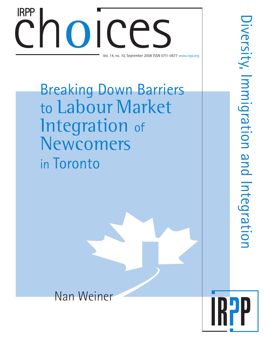# Choices S Vol. 14, no. 10, September 2008 ISSN 0711-0677 www.irpp.org IRPP

Breaking Down Barriers to Labour Market Integration of Newcomers in Toronto

Nan Weiner

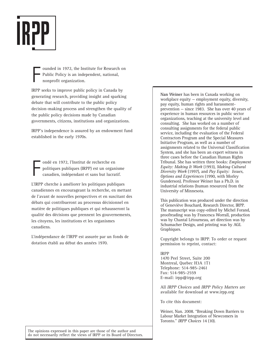

F ounded in 1972, the Institute for Research on Public Policy is an independent, national, nonprofit organization.

IRPP seeks to improve public policy in Canada by generating research, providing insight and sparking debate that will contribute to the public policy decision-making process and strengthen the quality of the public policy decisions made by Canadian governments, citizens, institutions and organizations.

IRPP's independence is assured by an endowment fund established in the early 1970s.

F ondé en 1972, l'Institut de recherche en politiques publiques (IRPP) est un organisme canadien, indépendant et sans but lucratif.

L'IRPP cherche à améliorer les politiques publiques canadiennes en encourageant la recherche, en mettant de l'avant de nouvelles perspectives et en suscitant des débats qui contribueront au processus décisionnel en matière de politiques publiques et qui rehausseront la qualité des décisions que prennent les gouvernements, les citoyens, les institutions et les organismes canadiens.

L'indépendance de l'IRPP est assurée par un fonds de dotation établi au début des années 1970.

**Nan Weiner** has been in Canada working on workplace equity — employment equity, diversity, pay equity, human rights and harassmentprevention — since 1983. She has over 40 years of experience in human resources in public sector organizations, teaching at the university level and consulting. She has worked on a number of consulting assignments for the federal public service, including the evaluation of the Federal Contractors Program and the Special Measures Initiative Program, as well as a number of assignments related to the Universal Classification System, and she has been an expert witness in three cases before the Canadian Human Rights Tribunal. She has written three books: *Employment Equity: Making It Work* (1993), *Making Cultural Diversity Work* (1997), and *Pay Equity: Issues, Options and Experiences* (1990, with Morley Gunderson). Professor Weiner has a Ph.D. in industrial relations (human resources) from the University of Minnesota.

This publication was produced under the direction of Geneviève Bouchard, Research Director, IRPP. The manuscript was copy-edited by Michel Forand, proofreading was by Francesca Worrall, production was by Chantal Létourneau, art direction was by Schumacher Design, and printing was by AGL Graphiques.

Copyright belongs to IRPP. To order or request permission to reprint, contact:

### IRPP

1470 Peel Street, Suite 200 Montreal, Quebec H3A 1T1 Telephone: 514-985-2461 Fax: 514-985-2559 E-mail: irpp@irpp.org

All *IRPP Choices* and *IRPP Policy Matters* are available for download at www.irpp.org

To cite this document:

Weiner, Nan. 2008. "Breaking Down Barriers to Labour Market Integration of Newcomers in Toronto." *IRPP Choices* 14 (10).

The opinions expressed in this paper are those of the author and do not necessarily reflect the views of IRPP or its Board of Directors.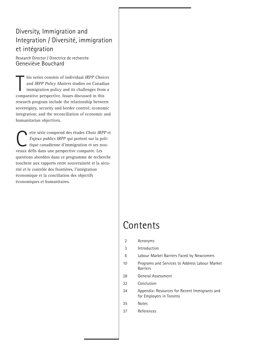# Diversity, Immigration and Integration / Diversité, immigration et intégration

Research Director / Directrice de recherche Geneviève Bouchard

his series consists of individual IRPP Choid<br>and IRPP Policy Matters studies on Canadi<br>immigration policy and its challenges fron<br>comparative perspective. Issues discussed in this his series consists of individual *IRPP Choices* and *IRPP Policy Matters* studies on Canadian immigration policy and its challenges from a research program include the relationship between sovereignty, security and border control; economic integration; and the reconciliation of economic and humanitarian objectives.

ette série comprend des études *Choix IRPP* et<br> *Enjeux publics IRPP* qui portent sur la poli-<br>
tique canadienne d'immigration et ses nou-<br>
veaux défis dans une perspective comparée Les *Enjeux publics IRPP* qui portent sur la politique canadienne d'immigration et ses nouveaux défis dans une perspective comparée. Les questions abordées dans ce programme de recherche touchent aux rapports entre souveraineté et la sécurité et le contrôle des frontières, l'intégration économique et la conciliation des objectifs économiques et humanitaires.

# **Contents**

2 Acronyms

3 Introduction

- 6 Labour Market Barriers Faced by Newcomers
- 10 Programs and Services to Address Labour Market Barriers
- 28 General Assessment
- 32 Conclusion
- 34 Appendix: Resources for Recent Immigrants and for Employers in Toronto
- 35 Notes
- 37 References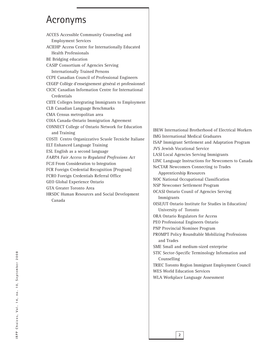# Acronyms

ACCES Accessible Community Counseling and Employment Services ACIEHP Access Centre for Internationally Educated Health Professionals BE Bridging education CASIP Consortium of Agencies Serving Internationally Trained Persons CCPE Canadian Council of Professional Engineers CEGEP Collège d'enseignement général et professionnel CICIC Canadian Information Centre for International Credentials CIITE Colleges Integrating Immigrants to Employment CLB Canadian Language Benchmarks CMA Census metropolitan area COIA Canada-Ontario Immigration Agreement CONNECT College of Ontario Network for Education and Training COSTI Centro Organizzativo Scuole Tecniche Italiane ELT Enhanced Language Training ESL English as a second language *FARPA Fair Access to Regulated Professions Act* FC2I From Consideration to Integration FCR Foreign Credential Recognition [Program] FCRO Foreign Credentials Referral Office GEO Global Experience Ontario GTA Greater Toronto Area HRSDC Human Resources and Social Development Canada

IBEW International Brotherhood of Electrical Workers IMG International Medical Graduates ISAP Immigrant Settlement and Adaptation Program JVS Jewish Vocational Service LASI Local Agencies Serving Immigrants LINC Language Instructions for Newcomers to Canada NeCTAR Newcomers Connecting to Trades Apprenticeship Resources NOC National Occupational Classification NSP Newcomer Settlement Program OCASI Ontario Counil of Agencies Serving Immigrants OISE/UT Ontario Institute for Studies in Education/ University of Toronto ORA Ontario Regulators for Access PEO Professional Engineers Ontario PNP Provincial Nominee Program PROMPT Policy Roundtable Mobilizing Professions and Trades SME Small and medium-sized enterprise STIC Sector-Specific Terminology Information and Counselling TRIEC Toronto Region Immigrant Employment Council WES World Education Services WLA Workplace Language Assessment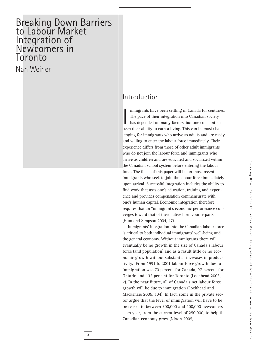# Breaking Down Barriers to Labour Market Integration of Newcomers, in Toronto, by Nan Weingreaking Down Barriers **Breaking Down Barriers to Labour Market Integration of Newcomers in Toronto, by Nan Weiner**

# Breaking Down Barriers to Labour Market Integration of Newcomers in Toronto

Nan Weiner

# Introduction

mmigrants have been settling in Canada for centurie<br>The pace of their integration into Canadian society<br>has depended on many factors, but one constant has<br>been their ability to earn a living. This can be most chalmmigrants have been settling in Canada for centuries. The pace of their integration into Canadian society has depended on many factors, but one constant has lenging for immigrants who arrive as adults and are ready and willing to enter the labour force immediately. Their experience differs from those of other adult immigrants who do not join the labour force and immigrants who arrive as children and are educated and socialized within the Canadian school system before entering the labour force. The focus of this paper will be on those recent immigrants who seek to join the labour force immediately upon arrival. Successful integration includes the ability to find work that uses one's education, training and experience and provides compensation commensurate with one's human capital. Economic integration therefore requires that an "immigrant's economic performance converges toward that of their native born counterparts" (Hum and Simpson 2004, 47).

Immigrants' integration into the Canadian labour force is critical to both individual immigrants' well-being and the general economy. Without immigrants there will eventually be no growth in the size of Canada's labour force (and population) and as a result little or no economic growth without substantial increases in productivity. From 1991 to 2001 labour force growth due to immigration was 70 percent for Canada, 97 percent for Ontario and 132 percent for Toronto (Lochhead 2003, 2). In the near future, all of Canada's net labour force growth will be due to immigration (Lochhead and Mackenzie 2005, 104). In fact, some in the private sector argue that the level of immigration will have to be increased to between 300,000 and 400,000 newcomers each year, from the current level of 250,000, to help the Canadian economy grow (Nixon 2005).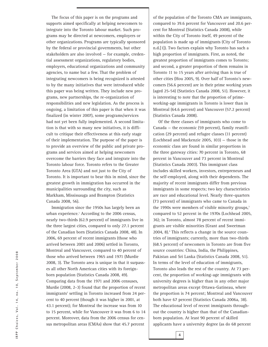The focus of this paper is on the programs and supports aimed specifically at helping newcomers to integrate into the Toronto labour market. Such programs may be directed at newcomers, employers or other organizations. Programs are typically sponsored by the federal or provincial governments, but other stakeholders are also involved — for example, credential assessment organizations, regulatory bodies, employers, educational organizations and community agencies, to name but a few. That the problem of integrating newcomers is being recognized is attested to by the many initiatives that were introduced while this paper was being written. They include new programs, new partnerships, the re-organization of responsibilities and new legislation. As the process is ongoing, a limitation of this paper is that when it was finalized (in winter 2007), some programs/services had not yet been fully implemented. A second limitation is that with so many new initiatives, it is difficult to critique their effectiveness at this early stage of their implementation. The purpose of the paper is to provide an overview of the public and private programs and services aimed at helping newcomers overcome the barriers they face and integrate into the Toronto labour force. Toronto refers to the Greater Toronto Area (GTA) and not just to the City of Toronto. It is important to bear this in mind, since the greatest growth in immigration has occurred in the municipalities surrounding the city, such as Markham, Mississauga and Brampton (Statistics Canada 2008, 56).

Immigration since the 1950s has largely been an urban experience.<sup>1</sup> According to the 2006 census, nearly two-thirds (62.9 percent) of immigrants live in the three largest cities, compared to only 27.1 percent of the Canadian born (Statistics Canada 2008, 48). In 2006, 69 percent of recent immigrants (those who arrived between 2001 and 2006) settled in Toronto, Montreal and Vancouver, compared to 40 percent of those who arrived between 1965 and 1971 (Murdie 2008, 3). The Toronto area is unique in that it surpasses all other North American cities with its foreignborn population (Statistics Canada 2008, 49). Comparing data from the 1971 and 2006 censuses, Murdie (2008, 2-3) found that the proportion of recent immigrants<sup>2</sup> settling in Toronto increased from 24 percent to 40 percent (though it was higher in 2001, at 43.1 percent); for Montreal the increase was from 10 to 15 percent, while for Vancouver it was from 6 to 14 percent. Moreover, data from the 2006 census for census metropolitan areas (CMAs) show that 45.7 percent

of the population of the Toronto CMA are immigrants, compared to 39.6 percent for Vancouver and 20.6 percent for Montreal (Statistics Canada 2008), while within the City of Toronto itself, 49 percent of the population is made up of immigrants (City of Toronto n.d.[1]). Two factors explain why Toronto has such a high proportion of immigrants. First, as noted, the greatest proportion of immigrants comes to Toronto; and second, a greater proportion of them remains in Toronto 11 to 15 years after arriving than is true of other cities (Hou 2005, 9). Over half of Toronto's newcomers (56.6 percent) are in their prime working years (aged 25-54) (Statistics Canada 2008, 51). However, it is interesting to note that the proportion of primeworking-age immigrants in Toronto is lower than in Montreal (64.6 percent) and Vancouver (57.2 percent) (Statistics Canada 2008).

Of the three classes of immigrants who come to Canada — the economic (59 percent), family reunification (29 percent) and refugee classes (11 percent) (Lochhead and Mackenzie 2005, 103) — those in the economic class are found in similar proportions in the three gateway cities: 70 percent in Toronto, 68 percent in Vancouver and 73 percent in Montreal (Statistics Canada 2003). This immigrant class includes skilled workers, investors, entrepreneurs and the self-employed, along with their dependents. The majority of recent immigrants differ from previous immigrants in some respects; two key characteristics are race and educational level. Nearly three-quarters (73 percent) of immigrants who came to Canada in the 1990s were members of visible minority groups,<sup>3</sup> compared to 52 percent in the 1970s (Lochhead 2005, 36); in Toronto, almost 78 percent of recent immigrants are visible minorities (Grant and Sweetman 2004, 8).<sup>4</sup> This reflects a change in the source countries of immigrants; currently, more than two-thirds (68.5 percent) of newcomers in Toronto are from five source countries: China, India, the Philippines, Pakistan and Sri Lanka (Statistics Canada 2008, 51). In terms of the level of education of immigrants, Toronto also leads the rest of the country. At 73 percent, the proportion of working-age immigrants with university degrees is higher than in any other major metropolitan areas except Ottawa-Gatineau, where the proportion is 74 percent; Montreal and Vancouver both have 67 percent (Statistics Canada 2006a, 38). The educational level of recent immigrants throughout the country is higher than that of the Canadianborn population. At least 90 percent of skilled applicants have a university degree (as do 68 percent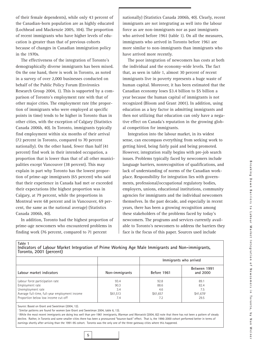of their female dependents), while only 43 percent of the Canadian-born population are as highly educated (Lochhead and Mackenzie 2005, 104). The proportion of recent immigrants who have higher levels of education is greater than that of previous cohorts because of changes in Canadian immigration policy in the 1970s.

The effectiveness of the integration of Toronto's demographically diverse immigrants has been mixed. On the one hand, there is work in Toronto, as noted in a survey of over 2,000 businesses conducted on behalf of the Public Policy Forum (Environics Research Group 2004, 1). This is supported by a comparison of Toronto's employment rate with that of other major cities. The employment rate (the proportion of immigrants who were employed at specific points in time) tends to be higher in Toronto than in other cities, with the exception of Calgary (Statistics Canada 2006b, 40). In Toronto, immigrants typically find employment within six months of their arrival (72 percent in Toronto, compared to 70 percent nationally). On the other hand, fewer than half (41 percent) find work in their intended occupation, a proportion that is lower than that of all other municipalities except Vancouver (38 percent). This may explain in part why Toronto has the lowest proportion of prime-age immigrants (65 percent) who said that their experience in Canada had met or exceeded their expectations (the highest proportion was in Calgary, at 79 percent, while the proportions in Montreal were 68 percent and in Vancouver, 69 percent, the same as the national average) (Statistics Canada 2006b, 40).

In addition, Toronto had the highest proportion of prime-age newcomers who encountered problems in finding work (76 percent, compared to 71 percent

nationally) (Statistics Canada 2006b, 40). Clearly, recent immigrants are not integrating as well into the labour force as are non-immigrants nor as past immigrants who arrived before 1961 (table 1). On all the measures, immigrants who arrived in Toronto before 1961 are more similar to non-immigrants than immigrants who have arrived more recently.

The poor integration of newcomers has costs at both the individual and the economy-wide levels. The fact that, as seen in table 1, almost 30 percent of recent immigrants live in poverty represents a huge waste of human capital. Moreover, it has been estimated that the Canadian economy loses \$3.4 billion to \$5 billion a year because the human capital of immigrants is not recognized (Bloom and Grant 2001). In addition, using education as a key factor in admitting immigrants and then not utilizing that education can only have a negative effect on Canada's reputation in the growing global competition for immigrants.

Integration into the labour market, in its widest sense, can encompass everything from seeking work to getting hired, being fairly paid and being promoted. However, integration really begins with pre-job search issues. Problems typically faced by newcomers include language barriers, nonrecognition of qualifications, and lack of understanding of norms of the Canadian workplace. Responsibility for integration lies with governments, professional/occupational regulatory bodies, employers, unions, educational institutions, community agencies for immigrants and the individual newcomers themselves. In the past decade, and especially in recent years, there has been a growing recognition among these stakeholders of the problems faced by today's newcomers. The programs and services currently available to Toronto's newcomers to address the barriers they face is the focus of this paper. Sources used include

| Toronto, 2001 (percent)                            |                |                        |                          |  |
|----------------------------------------------------|----------------|------------------------|--------------------------|--|
| Labour market indicators                           |                | Immigrants who arrived |                          |  |
|                                                    | Non-immigrants | Before 1961            | Between 1991<br>and 2000 |  |
| Labour force participation rate<br>Employment rate | 93.4<br>90.3   | 92.8<br>88.6           | 89.1<br>82.4             |  |
| Unemployment rate                                  | 3.4            | 4.6                    | 7.5                      |  |
| Average full-time, full-year employment income     | \$61,513       | \$61,657               | $$41,678^2$              |  |
| Proportion below low income cut-off                | 7.4            | 7.2                    | 29.5                     |  |

**Indicators of Labour Market Integration of Prime Working Age Male Immigrants and Non-immigrants,**

Source: Based on Grant and Sweetman (2004, 12).

**Table 1**

<sup>1</sup> Similar patterns are found for women (see Grant and Sweetman 2004, table 6, 13).

**5**

<sup>2</sup> While the most recent immigrants are doing less well than pre-1961 immigrants, Warman and Worswick (2004, 82) note that there has not been a pattern of steady decline. Rather, in Toronto and some smaller cities there has been a pronounced "bounce-back" effect. That is, the 1996-2000 cohort performed better in terms of earnings shortly after arriving than the 1991-95 cohort. Toronto was the only one of the three gateway cities where this happened.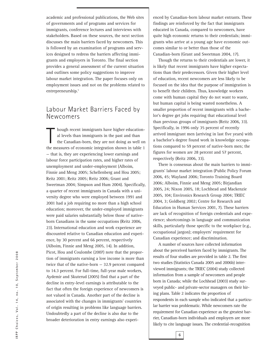academic and professional publications, the Web sites of governments and of programs and services for immigrants, conference lectures and interviews with stakeholders. Based on these sources, the next section discusses the main barriers faced by newcomers. This is followed by an examination of programs and services designed to redress the barriers affecting immigrants and employers in Toronto. The final section provides a general assessment of the current situation and outlines some policy suggestions to improve labour market integration. The paper focuses only on employment issues and not on the problems related to entrepreneurship.<sup>5</sup>

# Labour Market Barriers Faced by Newcomers

hough recent immigrants have higher education-<br>al levels than immigrants in the past and than<br>the Canadian-born, they are not doing as well on<br>the measures of economic integration shown in table 1 hough recent immigrants have higher educational levels than immigrants in the past and than the Canadian-born, they are not doing as well on — that is, they are experiencing lower earnings and labour force participation rates, and higher rates of unemployment and under-employment (Alboim, Finnie and Meng 2005; Schellenberg and Hou 2005; Reitz 2001; Reitz 2005; Reitz 2006; Grant and Sweetman 2004; Simpson and Hum 2004). Specifically, a quarter of recent immigrants in Canada with a university degree who were employed between 1991 and 2001 had a job requiring no more than a high school education; moreover, the under-employed immigrants were paid salaries substantially below those of nativeborn Canadians in the same occupations (Reitz 2006, 23). International education and work experience are discounted relative to Canadian education and experience, by 30 percent and 66 percent, respectively (Alboim, Finnie and Meng 2005, 14). In addition, Picot, Hou and Coulombe (2007) note that the proportion of immigrants earning a low income is more than twice that of the native-born — 32.9 percent compared to 14.3 percent. For full-time, full-year male workers, Aydemir and Skuterud (2005) find that a part of the decline in entry-level earnings is attributable to the fact that often the foreign experience of newcomers is not valued in Canada. Another part of the decline is associated with the changes in immigrants' countries of origin resulting in problems like language barriers. Undoubtedly a part of the decline is also due to the broader deterioration in entry earnings also experienced by Canadian-born labour market entrants. These findings are reinforced by the fact that immigrants educated in Canada, compared to newcomers, have quite high economic returns to their credentials; immigrants who arrive at a young age have economic outcomes similar to or better than those of the Canadian-born (Grant and Sweetman 2004, 17).

Though the returns to their credentials are lower, it is likely that recent immigrants have higher expectations than their predecessors. Given their higher level of education, recent newcomers are less likely to be focused on the idea that the purpose of immigration is to benefit their children. Thus, knowledge workers come with human capital they do not want to waste, but human capital is being wasted nonetheless. A smaller proportion of recent immigrants with a bachelor's degree get jobs requiring that educational level than previous groups of immigrants (Reitz 2006, 33). Specifically, in 1996 only 35 percent of recently arrived immigrant men (arriving in last five years) with a bachelor's degree found work in knowledge occupations compared to 59 percent of native-born men; the figures for women are 28 percent and 57 percent, respectively (Reitz 2006, 33).

There is consensus about the main barriers to immigrants' labour market integration (Public Policy Forum 2006, 45; Wayland 2006; Toronto Training Board 2006; Alboim, Finnie and Meng 2005; Birjandian 2005, 24; Nixon 2005, 18; Lochhead and Mackenzie 2005, 104; Environics Research Group 2004; TRIEC 2004, 3; Goldberg 2002; Centre for Research and Education in Human Services 2001, 7). These barriers are lack of recognition of foreign credentials and experience; shortcomings in language and communication skills, particularly those specific to the workplace (e.g., occupational jargon); employers' requirement for Canadian experience; and discrimination.

A number of sources have collected information about the perceived barriers faced by immigrants. The results of four studies are provided in table 2. The first two studies (Statistics Canada 2005 and 2006b) interviewed immigrants; the TRIEC (2004) study collected information from a sample of newcomers and people born in Canada; while the Lochhead (2003) study surveyed public- and private-sector managers on their hiring plans. Table 2 indicates the proportion of respondents in each sample who indicated that a particular barrier was problematic. While newcomers rate the requirement for Canadian experience as the greatest barrier, Canadian-born individuals and employers are more likely to cite language issues. The credential-recognition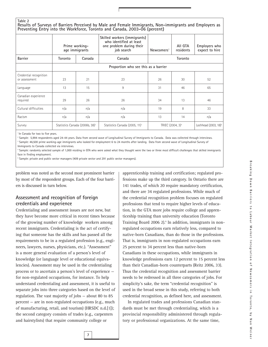#### **Table 2**

**Results of Surveys of Barriers Perceived by Male and Female Immigrants, Non-immigrants and Employers as Preventing Entry into the Workforce, Toronto and Canada, 2003-06 (percent)**

|                                         |         | Prime working-<br>age immigrants           | Skilled workers (immigrants)<br>who identified at least<br>one problem during their<br>job search | Newcomers <sup>1</sup> | AII GTA<br>residents         | Employers who<br>expect to hire  |
|-----------------------------------------|---------|--------------------------------------------|---------------------------------------------------------------------------------------------------|------------------------|------------------------------|----------------------------------|
| <b>Barrier</b>                          | Toronto | Canada                                     | Canada                                                                                            |                        | Toronto                      |                                  |
|                                         |         |                                            | Proportion who see this as a barrier                                                              |                        |                              |                                  |
| Credential recognition<br>or assessment | 23      | 21                                         | 23                                                                                                | 26                     | 30                           | 52                               |
| Language                                | 13      | 15                                         | 9                                                                                                 | 31                     | 46                           | 65                               |
| Canadian experience<br>required         | 29      | 26                                         | 26                                                                                                | 34                     | 13                           | 46                               |
| Cultural difficulties                   | n/a     | n/a                                        | n/a                                                                                               | 19                     | 8                            | 33                               |
| Racism                                  | n/a     | n/a                                        | n/a                                                                                               | 13                     | 14                           | n/a                              |
| Survey                                  |         | Statistics Canada (2006b, 38) <sup>2</sup> | Statistics Canada (2005, 11) <sup>3</sup>                                                         |                        | TRIEC (2004, 3) <sup>4</sup> | Lochhead (2003, 18) <sup>5</sup> |

<sup>1</sup> In Canada for two to five years.

<sup>2</sup> Sample: 5,994 respondents aged 24-44 years. Data from second wave of Longitudinal Survey of Immigrants to Canada. Data was collected through interviews.

<sup>3</sup> Sample: 46,500 prime working-age immigrants who looked for employment 6 to 24 months after landing. Data from second wave of Longitudinal Survey of

Immigrants to Canada collected via interviews.

<sup>4</sup> Sample: randomly selected sample of 1,000 residing in GTA who were asked what they thought were the two or three most difficult challenges that skilled immigrants face in finding employment.

<sup>5</sup> Sample: private and public sector managers (409 private sector and 291 public sector managers).

problem was noted as the second most prominent barrier by most of the respondent groups. Each of the four barriers is discussed in turn below.

#### **Assessment and recognition of foreign credentials and experience**

Credentialing and assessment issues are not new, but they have become more critical in recent times because of the growing number of knowledge workers among recent immigrants. Credentialing is the act of certifying that someone has the skills and has passed all the requirements to be in a regulated profession (e.g., engineers, lawyers, nurses, physicians, etc.). "Assessment" is a more general evaluation of a person's level of knowledge (or language level or educational equivalencies). Assessment may be used in the credentialing process or to ascertain a person's level of experience for non-regulated occupations, for instance. To help understand credentialing and assessment, it is useful to separate jobs into three categories based on the level of regulation. The vast majority of jobs — about 80 to 85 percent — are in non-regulated occupations (e.g., much of manufacturing, retail, and tourism) (HRSDC n.d.[1]); the second category consists of trades (e.g., carpenters and hairstylists) that require community college or

apprenticeship training and certification; regulated professions make up the third category. In Ontario there are 141 trades, of which 20 require mandatory certification, and there are 34 regulated professions. While much of the credential recognition problem focuses on regulated professions that tend to require higher levels of education, in the GTA more jobs require college and apprenticeship training than university education (Toronto Training Board 2006 2).<sup>6</sup> In addition, immigrants in nonregulated occupations earn relatively less, compared to native-born Canadians, than do those in the professions. That is, immigrants in non-regulated occupations earn 25 percent to 34 percent less than native-born Canadians in these occupations, while immigrants in knowledge professions earn 12 percent to 15 percent less than their Canadian-born counterparts (Reitz 2006, 33). Thus the credential recognition and assessment barrier needs to be redressed in all three categories of jobs. For simplicity's sake, the term "credential recognition" is used in the broad sense in this study, referring to both credential recognition, as defined here, and assessment.

In regulated trades and professions Canadian standards must be met through credentialing, which is a provincial responsibility administered through regulatory or professional organizations. At the same time,

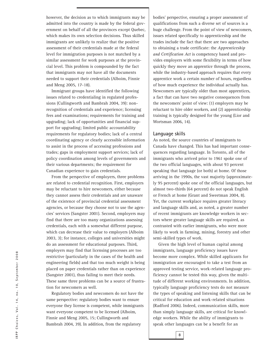however, the decision as to which immigrants may be admitted into the country is made by the federal government on behalf of all the provinces except Quebec, which makes its own selection decisions. Thus skilled immigrants are unlikely to realize that the positive assessment of their credentials made at the federal level for immigration purposes is not matched by a similar assessment for work purposes at the provincial level. This problem is compounded by the fact that immigrants may not have all the documents needed to support their credentials (Alboim, Finnie and Meng 2005, 17-18).

Immigrant groups have identified the following issues related to credentialing in regulated professions (Cullingworth and Bambrah 2004, 39): nonrecognition of credentials and experience; licensing fees and examinations; requirements for training and upgrading; lack of opportunities and financial support for upgrading; limited public accountability requirements for regulatory bodies; lack of a central coordinating agency or clearly accessible information to assist in the process of accessing professions and trades; gaps in employment support services; lack of policy coordination among levels of governments and their various departments; the requirement for Canadian experience to gain credentials.

From the perspective of employers, three problems are related to credential recognition. First, employers may be reluctant to hire newcomers, either because they cannot assess their credentials and are unaware of the existence of provincial credential assessment agencies, or because they choose not to use the agencies' services (Sangster 2001). Second, employers may find that there are too many organizations assessing credentials, each with a somewhat different purpose, which can decrease their value to employers (Alboim 2003, 3); for instance, colleges and universities might do an assessment for educational purposes. Third, employers may find that licensing processes are too restrictive (particularly in the cases of the health and engineering fields) and that too much weight is being placed on paper credentials rather than on experience (Sangster 2001), thus failing to meet their needs. These same three problems can be a source of frustration for newcomers as well.

Regulatory bodies and newcomers do not have the same perspective: regulatory bodies want to ensure everyone they license is competent, while immigrants want everyone competent to be licensed (Alboim, Finnie and Meng 2005, 15; Cullingworth and Bambrah 2004, 39). In addition, from the regulatory

bodies' perspective, ensuring a proper assessment of qualifications from such a diverse set of sources is a huge challenge. From the point of view of newcomers, issues related specifically to apprenticeship and the trades include the fact that there are two approaches to obtaining a trade certificate: the *Apprenticeship and Certification Act* is competency based and provides employers with some flexibility in terms of how quickly they move an apprentice through the process, while the industry-based approach requires that every apprentice work a certain number of hours, regardless of how much experience the individual actually has. Newcomers are typically older than most apprentices, a fact that can have two negative consequences from the newcomers' point of view: (1) employers may be reluctant to hire older workers, and (2) apprenticeship training is typically designed for the young (Lior and Wortsman 2006, 14).

#### **Language skills**

As noted, the source countries of immigrants to Canada have changed. This has had important consequences regarding language. In Toronto, all of the immigrants who arrived prior to 1961 spoke one of the two official languages, with about 93 percent speaking that language (or both) at home. Of those arriving in the 1990s, the vast majority (approximately 95 percent) spoke one of the official languages, but almost two-thirds (64 percent) do not speak English or French at home (Grant and Sweetman 2004, 8). Yet, the current workplace requires greater literacy and language skills and, as noted, a greater number of recent immigrants are knowledge workers in sectors where greater language skills are required, as contrasted with earlier immigrants, who were more likely to work in farming, mining, forestry and other semi-skilled types of work.

Given the high level of human capital among immigrants, language proficiency issues have become more complex. While skilled applicants for immigration are encouraged to take a test from an approved testing service, work-related language proficiency cannot be tested this way, given the multitude of different working environments. In addition, typically language proficiency tests do not measure the types of speaking and listening skills that can be critical for education and work-related situations (Radford 2006). Indeed, communication skills, more than simply language skills, are critical for knowledge workers. While the ability of immigrants to speak other languages can be a benefit for an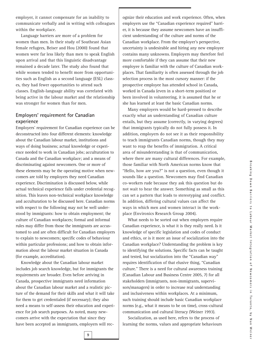employer, it cannot compensate for an inability to communicate verbally and in writing with colleagues within the workplace.

Language barriers are more of a problem for women than men. In their study of Southeast Asian female refugees, Beiser and Hou (2000) found that women were far less likely than men to speak English upon arrival and that this linguistic disadvantage remained a decade later. The study also found that while women tended to benefit more from opportunities such as English as a second language (ESL) classes, they had fewer opportunities to attend such classes. English-language ability was correlated with being active in the labour market and the relationship was stronger for women than for men.

#### **Employers' requirement for Canadian experience**

Employers' requirement for Canadian experience can be deconstructed into four different elements: knowledge about the Canadian labour market, institutions and ways of doing business; actual knowledge or experience needed to work in Canadian jobs; acculturation to Canada and the Canadian workplace; and a means of discriminating against newcomers. One or more of these elements may be the operating motive when newcomers are told by employers they need Canadian experience. Discrimination is discussed below, while actual technical experience falls under credential recognition. This leaves non-technical workplace knowledge and acculturation to be discussed here. Canadian norms with respect to the following may not be well understood by immigrants: how to obtain employment; the culture of Canadian workplaces; formal and informal rules may differ from those the immigrants are accustomed to and are often difficult for Canadian employers to explain to newcomers; specific codes of behaviour within particular professions; and how to obtain information about the labour market situation in Canada (for example, accreditation).

Knowledge about the Canadian labour market includes job search knowledge, but for immigrants the requirements are broader. Even before arriving in Canada, prospective immigrants need information about the Canadian labour market and a realistic picture of the demand for their skills and what it will take for them to get credentialed (if necessary); they also need a means to self-assess their education and experience for job search purposes. As noted, many newcomers arrive with the expectation that since they have been accepted as immigrants, employers will recognize their education and work experience. Often, when employers use the "Canadian experience required" barrier, it is because they assume newcomers have an insufficient understanding of the culture and norms of the Canadian workplace. From the employer's perspective, uncertainty is undesirable and hiring any new employee contains many unknowns. Employers may therefore feel more comfortable if they can assume that their new employee is familiar with the culture of Canadian workplaces. That familiarity is often assessed through the job selection process in the most cursory manner: if the prospective employee has attended school in Canada, worked in Canada (even in a short-term position) or been involved in volunteering, it is assumed that he or she has learned at least the basic Canadian norms.

Many employers would be hard-pressed to describe exactly what an understanding of Canadian culture entails, but they assume (correctly, in varying degrees) that immigrants typically do not fully possess it. In addition, employers do not see it as their responsibility to teach immigrants Canadian norms, though they may want to reap the benefits of immigration. A critical area of misunderstanding is that of communication, where there are many cultural differences. For example, those familiar with North American norms know that "Hello, how are you?" is not a question, even though it sounds like a question. Newcomers may find Canadian co-workers rude because they ask this question but do not wait to hear the answer. Something as small as this can set a pattern that leads to stereotyping and conflict. In addition, differing cultural values can affect the ways in which men and women interact in the workplace (Environics Research Group 2004).

What needs to be sorted out when employers require Canadian experience, is what it is they really need. Is it knowledge of specific legislation and codes of conduct and ethics, or is it more an issue of socialization into the Canadian workplace? Understanding the problem is key to identifying the solutions. Specific facts can be taught and tested, but socialization into the "Canadian way" requires identification of that elusive thing, "Canadian culture." There is a need for cultural awareness training (Canadian Labour and Business Centre 2005, 7) for all stakeholders (immigrants, non-immigrants, supervisors/managers) in order to increase real understanding and inclusiveness within workplaces. At a minimum, such training should include basic Canadian workplace norms (e.g., what it means to be on time), cross-cultural communication and cultural literacy (Weiner 1993).

Socialization, as used here, refers to the process of learning the norms, values and appropriate behaviours

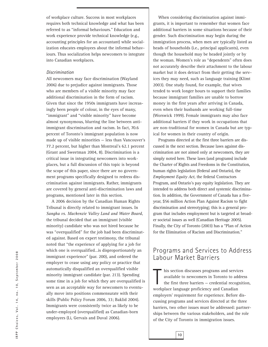of workplace culture. Success in most workplaces requires both technical knowledge and what has been referred to as "informal behaviours." Education and work experience provide technical knowledge (e.g., accounting principles for an accountant) while socialization educates employees about the informal behaviours. Thus socialization helps newcomers to integrate into Canadian workplaces.

#### *Discrimination*

All newcomers may face discrimination (Wayland 2006) due to prejudice against immigrants. Those who are members of a visible minority may face additional discrimination in the form of racism. Given that since the 1950s immigrants have increasingly been people of colour, in the eyes of many, "immigrant" and "visible minority" have become almost synonymous, blurring the line between antiimmigrant discrimination and racism. In fact, 70.6 percent of Toronto's immigrant population is now made up of visible minorities — less than Vancouver's 77.2 percent, but higher than Montreal's 62.1 percent (Grant and Sweetman 2004, 8). Discrimination is a critical issue in integrating newcomers into workplaces, but a full discussion of this topic is beyond the scope of this paper, since there are no government programs specifically designed to redress discrimination against immigrants. Rather, immigrants are covered by general anti-discrimination laws and programs, mentioned later in this section.

A 2006 decision by the Canadian Human Rights Tribunal is directly related to immigrant issues. In *Sangha vs. Mackenzie Valley Land and Water Board*, the tribunal decided that an immigrant (visible minority) candidate who was not hired because he was "overqualified" for the job had been discriminated against. Based on expert testimony, the tribunal noted that "the experience of applying for a job for which one is overqualified…is disproportionately an immigrant experience" (par. 200), and ordered the employer to cease using any policy or practice that automatically disqualified an overqualified visible minority immigrant candidate (par. 213). Spending some time in a job for which they are overqualified is seen as an acceptable way for newcomers to eventually move into positions commensurate with their skills (Public Policy Forum 2006, 33; Baklid 2004). Immigrants were consistently twice as likely to be under-employed (overqualified) as Canadian-born employees (Li, Gervais and Duval 2006).

When considering discrimination against immigrants, it is important to remember that women face additional barriers in some situations because of their gender. Such discrimination may begin during the immigration process, when men are typically listed as heads of households (i.e., principal applicants), even though the household may be headed jointly or by the woman. Women's role as "dependents" often does not accurately describe their attachment to the labour market but it does detract from their getting the services they may need, such as language training (Klimt 2003). One study found, for example, that wives tended to work longer hours to support their families because immigrant families are unable to borrow money in the first years after arriving in Canada, even when their husbands are working full-time (Worswick 1999). Female immigrants may also face additional barriers if they work in occupations that are non-traditional for women in Canada but are typical for women in their country of origin.

Programs directed at the first three barriers are discussed in the next section. Because laws against discrimination are not aimed only at newcomers, they are simply noted here. These laws (and programs) include the Charter of Rights and Freedoms in the Constitution, human rights legislation (federal and Ontario), the *Employment Equity Act,* the federal Contractors Program, and Ontario's pay equity legislation. They are intended to address both direct and systemic discrimination. In addition, the Government of Canada has a fiveyear, \$56 million Action Plan Against Racism to fight discrimination and stereotyping; this is a general program that includes employment but is targeted at broader societal issues as well (Canadian Heritage 2005). Finally, the City of Toronto (2003) has a "Plan of Action for the Elimination of Racism and Discrimination."

# Programs and Services to Address Labour Market Barriers

his section discusses programs and serviavailable to newcomers in Toronto to ad the first three barriers – credential recognoverkplace language proficiency and Canadian his section discusses programs and services available to newcomers in Toronto to address the first three barriers — credential recognition, employers' requirement for experience. Before discussing programs and services directed at the three barriers, two other issues must be addressed: partnerships between the various stakeholders, and the role of the City of Toronto in immigration issues.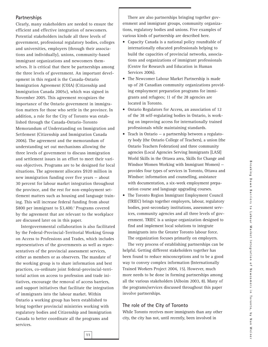#### **Partnerships**

Clearly, many stakeholders are needed to ensure the efficient and effective integration of newcomers. Potential stakeholders include all three levels of government, professional regulatory bodies, colleges and universities, employers (through their associations and individually), unions, community-based immigrant organizations and newcomers themselves. It is critical that there be partnerships among the three levels of government. An important development in this regard is the Canada-Ontario Immigration Agreement (COIA) (Citizenship and Immigration Canada 2005c), which was signed in November 2005. This agreement recognizes the importance of the Ontario government in immigration matters for those who settle in the province. In addition, a role for the City of Toronto was established through the Canada-Ontario-Toronto Memorandum of Understanding on Immigration and Settlement (Citizenship and Immigration Canada 2006). The agreement and the memorandum of understanding set out mechanisms allowing the three levels of government to discuss immigration and settlement issues in an effort to meet their various objectives. Programs are to be designed for local situations. The agreement allocates \$920 million in new immigration funding over five years — about 30 percent for labour market integration throughout the province, and the rest for non-employment settlement matters such as housing and language training. This will increase federal funding from about \$800 per immigrant to \$3,400.<sup>7</sup> Programs covered by the agreement that are relevant to the workplace are discussed later on in this paper.

Intergovernmental collaboration is also facilitated by the Federal-Provincial-Territorial Working Group on Access to Professions and Trades, which includes representatives of the governments as well as representatives of the provincial assessment services, either as members or as observers. The mandate of the working group is to share information and best practices, co-ordinate joint federal-provincial-territorial action on access to profession and trade initiatives, encourage the removal of access barriers, and support initiatives that facilitate the integration of immigrants into the labour market. Within Ontario a working group has been established to bring together provincial ministries working with regulatory bodies and Citizenship and Immigration Canada to better coordinate all the programs and services.

There are also partnerships bringing together government and immigrant groups, community organizations, regulatory bodies and unions. Five examples of various kinds of partnership are described here.

- Capacity Canada is a national policy roundtable of internationally educated professionals helping to build the capacities of provincial networks, associations and organizations of immigrant professionals (Centre for Research and Education in Human Services 2006).
- The Newcomer Labour Market Partnership is made up of 28 Canadian community organizations providing employment preparation programs for immigrants and refugees; 11 of the 28 agencies are located in Toronto.
- Ontario Regulators for Access, an association of 12 of the 38 self-regulating bodies in Ontario, is working on improving access for internationally trained professionals while maintaining standards.
- Teach in Ontario a partnership between a regulatory body (the Ontario College of Teachers), a union (the Ontario Teachers Federation) and three community agencies (Local Agencies Serving Immigrants [LASI] World Skills in the Ottawa area, Skills for Change and Windsor Women Working with Immigrant Women) provides four types of services in Toronto, Ottawa and Windsor: information and counselling, assistance with documentation, a six-week employment preparation course and language upgrading courses.
- The Toronto Region Immigrant Employment Council (TRIEC) brings together employers, labour, regulatory bodies, post-secondary institutions, assessment services, community agencies and all three levels of government. TRIEC is a unique organization designed to find and implement local solutions to integrate immigrants into the Greater Toronto labour force. The organization focuses primarily on employers.

The very process of establishing partnerships can be helpful. Getting different stakeholders together has been found to reduce misconceptions and to be a good way to convey complex information (Internationally Trained Workers Project 2004, 15). However, much more needs to be done in forming partnerships among all the various stakeholders (Alboim 2003, 8). Many of the programs/services discussed throughout this paper involve partnerships.

#### **The role of the City of Toronto**

While Toronto receives more immigrants than any other city, the city has not, until recently, been involved in

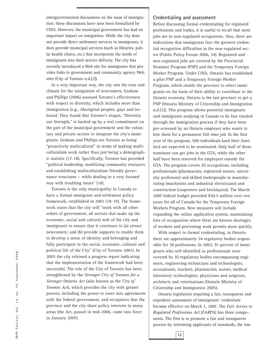intergovernmental discussions on the issue of immigration; these discussions have now been formalized by COIA. However, the municipal government has had an important impact on integration. While the city does not provide direct settlement services to immigrants, it does provide municipal services (such as libraries, public health clinics, etc.) that incorporate the needs of immigrants into their service delivery. The city has recently introduced a Web site for immigrants that provides links to government and community agency Web sites (City of Toronto n.d.[2]).

In a very important way, the city sets the tone and climate for the integration of newcomers. Graham and Phillips (2006) assessed Toronto's effectiveness with respect to diversity, which includes more than immigration (e.g., Aboriginal peoples, gays and lesbians). They found that Toronto's slogan, "Diversity our Strength," is backed up by a real commitment on the part of the municipal government and the voluntary and private sectors to integrate the city's immigrants. Graham and Phillips see Toronto as being "proactively multicultural" in terms of making multiculturalism work rather than just being a demographic statistic (17-18). Specifically, Toronto has provided "political leadership, mobilizing community resources and establishing multiculturalism-friendly governance structures — while dealing in a very focused way with troubling issues" (18).

Toronto is the only municipality in Canada to have a formal immigrant and settlement policy framework, established in 2001 (18-19). The framework states that the city will "work with all other orders of government, all sectors that make up the economic, social and cultural web of the city and immigrants to ensure that it continues to (a) attract newcomers; and (b) provide supports to enable them to develop a sense of identity and belonging and fully participate in the social, economic, cultural and political life of the City" (City of Toronto 2001). In 2005 the city released a progress report indicating that the implementation of the framework had been successful. The role of the City of Toronto has been strengthened by the *Stronger City of Toronto for a Stronger Ontario Act* (also known as the *City of Toronto Act*), which provides the city with greater powers, including the power to enter into agreements with the federal government, and recognizes that the province and the city share policy interests in many areas (the Act, passed in mid-2006, came into force in January 2007).

#### **Credentialing and assessment**

Before discussing formal credentialing for regulated professions and trades, it is useful to recall that most jobs are in non-regulated occupations. Also, there are indications that immigrants face the greatest credential recognition difficulties in the non-regulated sector (Public Policy Forum 2006, 34). Regulated and non-regulated jobs are covered by the Provincial Nominee Program (PNP) and the Temporary Foreign Worker Program. Under COIA, Ontario has established a pilot PNP and a Temporary Foreign Worker Program, which enable the province to select immigrants on the basis of their ability to contribute to the Ontario economy. Ontario is the last province to get a PNP (Ontario Ministry of Citizenship and Immigration n.d.[1]). This program allows potential immigrants and immigrants studying in Canada to be fast-tracked through the immigration process if they have been pre-screened by an Ontario employer who wants to hire them for a permanent full-time job. In the first year of the program, 500 individuals (and their families) are expected to be nominated. Only half of those nominees can get jobs in the GTA, while the other half have been reserved for employers outside the GTA. The program covers 20 occupations, including professionals (pharmacists, registered nurses, university professors) and skilled tradespeople in manufacturing (machinists and industrial electricians) and construction (carpenters and bricklayers). The March 2007 federal budget provided \$50.5 million over two years for all of Canada for the Temporary Foreign Workers Program. New measures will include expanding the online application system, maintaining lists of occupations where there are known shortages of workers and processing work permits more quickly.

With respect to formal credentialing, in Ontario there are approximately 34 regulatory bodies responsible for 38 professions. In 2003, 91 percent of immigrants who self-identified as professionals were covered by 10 regulatory bodies encompassing engineers, engineering technicians and technologists, accountants, teachers, pharmacists, nurses, medical laboratory technologists, physicians and surgeons, architects and veterinarians (Ontario Ministry of Citizenship and Immigration 2005).

Ontario legislation requiring a fair, transparent and expedient assessment of immigrants' credentials became effective on March 1, 2007. The *Fair Access to Regulated Professions Act* (*FARPA*) has three components. The first is to promote a fair and transparent process by informing applicants of standards, the tim-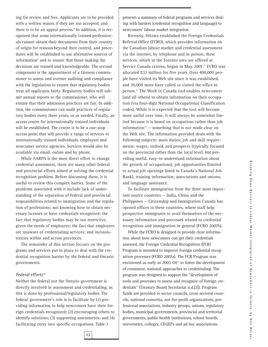ing for review and fees. Applicants are to be provided with a written reason if they are not accepted, and there is to be an appeal process. $\delta$  In addition, it is recognized that some internationally trained professionals cannot obtain their documents from their country of origin for reasons beyond their control, and procedures will be established to use alternative sources of information<sup>9</sup> and to ensure that those making the decisions are trained and knowledgeable. The second component is the appointment of a fairness commissioner to assess and oversee auditing and compliance with the legislation to ensure that regulatory bodies treat all applicants fairly. Regulatory bodies will submit annual reports to the commissioner, who will ensure that their admission practices are fair. In addition, the commissioner can audit practices of regulatory bodies every three years, or as needed. Finally, an access centre for internationally trained individuals will be established. The centre is to be a one-stop access point that will provide a range of services to internationally trained individuals, employers and newcomer service agencies. Services would also be available via email, online and by phone.

While *FARPA* is the most direct effort to change credential assessment, there are many other federal and provincial efforts aimed at solving the credential recognition problem. Before discussing these, it is useful to review this complex barrier. Some of the problems associated with it include lack of understanding of the separation of federal and provincial responsibilities related to immigration and the regulation of professions; not knowing how to obtain necessary licenses or have credentials recognized; the fact that regulatory bodies may be too restrictive, given the needs of employers; the fact that employers are unaware of credentialing services; and inconsistencies within and across provinces.

The remainder of this section focuses on the programs and services put in place to deal with the credential recognition barrier by the federal and Ontario governments.

#### *Federal efforts10*

Neither the federal nor the Ontario government is directly involved in assessment and credentialing, as this is done by professional/regulatory bodies. The federal government's role is to facilitate by (1) providing information to help newcomers have their foreign credentials recognized; (2) encouraging others to identify solutions; (3) supporting assessments; and (4) facilitating entry into specific occupations. Table 3

presents a summary of federal programs and services dealing with barriers (credential recognition and language) to newcomers' labour market integration.

Recently, Ottawa established the Foreign Credentials Referral Office (FCRO), which provides information on the Canadian labour market and credential assessment via the internet, by telephone and in person; these services, which in the Toronto area are offered at Service Canada centres, began in May 2007.<sup>11</sup> FCRO was allocated \$32 million for five years. Over 400,000 people have visited its Web site since it was established, and 20,000 more have called or visited the office in person.12 The Work in Canada tool enables newcomers (and all others) to obtain information on their occupation (via four-digit National Occupational Classification codes). While it is expected that the tool will become more useful over time, it will always be somewhat limited because it is based on occupations rather than job information $13$  – something that is not made clear on the Web site. The information provided deals with the following subjects: main duties; job and skill requirements; wages; outlook and prospects (typically focused on the provincial rather than the local level, but providing useful, easy-to-understand information about the growth of occupations); job opportunities (limited to actual job openings listed in Canada's National Job Bank); training information; associations and unions; and language assistance.

To facilitate immigration from the three most important source countries — India, China and the Philippines — Citizenship and Immigration Canada has opened offices in these countries, where staff help prospective immigrants to avail themselves of the necessary information and processes related to credential recognition and immigration in general (FCRO 2007b).

While the FCRO is designed to provide clear information about how newcomers can get their credentials assessed, the Foreign Credential Recognition (FCR) Program is intended to improve foreign credential recognition processes (FCRO 2007a). The FCR Program was envisioned as early as 2003-0414 to foster the development of consistent, national approaches to credentialing. The program was designed to support the "development of tools and processes to assess and recognize of foreign credentials" (Treasury Board Secretariat n.d.[2]). Program funds are provided to sector councils, cross-sectoral councils, national consortia, not-for-profit organizations, professional associations, industry groups, unions, regulatory bodies, municipal governments, provincial and territorial governments, public health institutions, school boards, universities, colleges, CEGEPs and ad hoc associations.

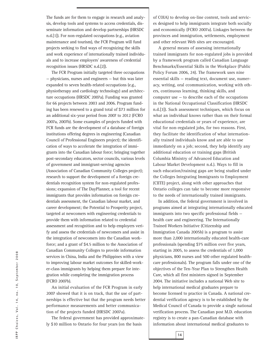The funds are for them to engage in research and analysis, develop tools and systems to access credentials, disseminate information and develop partnerships (HRSDC n.d.[1]). For non-regulated occupations (e.g., aviation maintenance and tourism), the FCR Program will fund projects seeking to find ways of recognizing the skills and work experience of internationally trained individuals and to increase employers' awareness of credential recognition issues (HRSDC n.d.[2]).

The FCR Program initially targeted three occupations — physicians, nurses and engineers — but this was later expanded to seven health-related occupations (e.g., physiotherapy and cardiology technology) and architecture occupations (HRSDC 2007a). Funding was granted for 66 projects between 2003 and 2006. Program funding has been renewed to a grand total of \$73 million for an additional six-year period from 2007 to 2012 (FCRO 2007a, 2007b). Some examples of projects funded with FCR funds are the development of a database of foreign institutions offering degrees in engineering (Canadian Council of Professional Engineers project); the identification of ways to accelerate the integration of immigrants into the Canadian labour force; bringing together post-secondary educators, sector councils, various levels of government and immigrant-serving agencies (Association of Canadian Community Colleges project); research to support the development of a foreign credentials recognition system for non-regulated professions; expansion of The DayPlanner, a tool for recent immigrants that provides information on foreign credentials assessment, the Canadian labour market, and career development; the Potential to Prosperity project, targeted at newcomers with engineering credentials to provide them with information related to credential assessment and recognition and to help employers verify and assess the credentials of newcomers and assist in the integration of newcomers into the Canadian workforce; and a grant of \$4.5 million to the Association of Canadian Community Colleges to provide information services in China, India and the Philippines with a view to improving labour market outcomes for skilled-worker-class immigrants by helping them prepare for integration while completing the immigration process (FCRO 2007b).

An initial evaluation of the FCR Program in early 2007 showed that it is on track, that the use of partnerships is effective but that the program needs better performance measurements and better communication of the projects funded (HRSDC 2007a).

The federal government has provided approximately \$10 million to Ontario for four years (on the basis

of COIA) to develop on-line content, tools and services designed to help immigrants integrate both socially and economically (FCRO 2007a). Linkages between the provinces and immigration, settlements, employment and other relevant Web sites are encouraged.

A general means of assessing internationally trained immigrants for non-regulated jobs is provided by a framework program called Canadian Language Benchmarks/Essential Skills in the Workplace (Public Policy Forum 2006, 24). The framework uses nine essential skills — reading text, document use, numeracy, writing, oral ccommunication, working with others, continuous learning, thinking skills, and computer use — to describe each of the occupations in the National Occupational Classification (HRSDC n.d.[3]). Such assessment techniques, which focus on what an individual knows rather than on their formal educational credentials or years of experience, are vital for non-regulated jobs, for two reasons. First, they facilitate the identification of what internationally trained individuals know and are able to use immediately on a job; second, they help identify any additional education or training gaps (British Columbia Ministry of Advanced Education and Labour Market Development n.d.). Ways to fill in such education/training gaps are being studied under the Colleges Integrating Immigrants to Employment (CIITE) project, along with other approaches that Ontario colleges can take to become more responsive to the needs of internationally trained immigrants.

In addition, the federal government is involved in programs aimed at integrating internationally educated immigrants into two specific professional fields health care and engineering. The Internationally Trained Workers Initiative (Citizenship and Immigration Canada 2005b) is a program to assist more than 2,000 internationally educated health-care professionals (spending \$75 million over five years, starting in 2005, to assess the credentials of 1,000 physicians, 800 nurses and 500 other regulated healthcare professionals). The program falls under one of the objectives of the Ten-Year Plan to Strengthen Health Care, which all first ministers signed in September 2004. The initiative includes a national Web site to help international medical graduates prepare to become licensed to practice in Canada. A national credential verification agency is to be established by the Medical Council of Canada to provide a single national verification process. The Canadian post M.D. education registry is to create a pan-Canadian database with information about international medical graduates to

IRPP Choices, Vol. 14, no. 10, September 2008 **IRPP Choices, Vol. 14, no. 10, September 2008**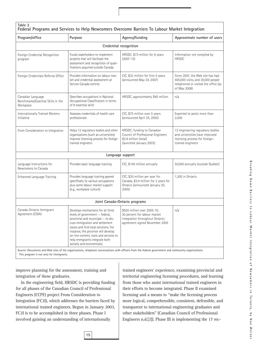| Program/office                                                                                                                                                                                                                                                                                                                                                                        | Purpose                                                                                                                                                                                                                                                           | Agency/funding                                                                                                                   | Approximate number of users                                                                                                   |
|---------------------------------------------------------------------------------------------------------------------------------------------------------------------------------------------------------------------------------------------------------------------------------------------------------------------------------------------------------------------------------------|-------------------------------------------------------------------------------------------------------------------------------------------------------------------------------------------------------------------------------------------------------------------|----------------------------------------------------------------------------------------------------------------------------------|-------------------------------------------------------------------------------------------------------------------------------|
|                                                                                                                                                                                                                                                                                                                                                                                       |                                                                                                                                                                                                                                                                   | Credential recognition                                                                                                           |                                                                                                                               |
| Foreign Credential Recognition<br>program                                                                                                                                                                                                                                                                                                                                             | Funds stakeholders to implement<br>HRSDC, \$73 million for 6 years<br>projects that will facilitate the<br>$(2007 - 12)$<br>assessment and recognition of quali-<br>fications acquired outside Canada                                                             |                                                                                                                                  | Information not compiled by<br><b>HRSDC</b>                                                                                   |
| Foreign Credentials Referral Office                                                                                                                                                                                                                                                                                                                                                   | Provides information on labour mar-<br>ket and credential assessment at<br>Service Canada centres                                                                                                                                                                 | CIC, \$32 million for first 5 years<br>(announced May 24, 2007)                                                                  | Since 2007, the Web site has had<br>400,000 visits, and 20,000 people<br>telephoned or visited the office (as<br>of May 2008) |
| Canadian Language<br>Benchmarks/Essential Skills in the<br>Workplace                                                                                                                                                                                                                                                                                                                  | Describes occupations in National<br>Occupational Classification in terms<br>of 9 essential skills <sup>1</sup>                                                                                                                                                   | HRSDC, approximately \$40 million                                                                                                | n/a                                                                                                                           |
| Internationally Trained Workers<br>Initiative                                                                                                                                                                                                                                                                                                                                         | Assesses credentials of health care<br>professionals                                                                                                                                                                                                              | CIC, \$75 million over 5 years<br>(announced April 25, 2005)                                                                     | Expected to assist more than<br>2,000                                                                                         |
| From Consideration to Integration                                                                                                                                                                                                                                                                                                                                                     | Helps 12 regulatory bodies and other<br>HRSDC; funding to Canadian<br>organizations (such as universities)<br>Council of Professional Engineers<br>improve licensing process for foreign<br>\$2.9 million (total)<br>trained engineers<br>(launched January 2003) |                                                                                                                                  | 12 engineering regulatory bodies<br>and universities have improved<br>licensing process for foreign-<br>trained engineers     |
|                                                                                                                                                                                                                                                                                                                                                                                       |                                                                                                                                                                                                                                                                   | Language support                                                                                                                 |                                                                                                                               |
| Language Instructions for<br>Newcomers to Canada                                                                                                                                                                                                                                                                                                                                      | Provides basic language training                                                                                                                                                                                                                                  | CIC, \$140 million annually                                                                                                      | 50,000 annually (outside Quebec)                                                                                              |
| Provides language training geared<br>Enhanced Language Training<br>specifically to various occupations<br>plus some labour market support<br>(e.g., workplace culture)<br>2005                                                                                                                                                                                                        |                                                                                                                                                                                                                                                                   | CIC; \$20 million per year for<br>Canada; \$3.4 million for 2 years for<br>Ontario (announced January 20,                        | 1.300 in Ontario                                                                                                              |
|                                                                                                                                                                                                                                                                                                                                                                                       |                                                                                                                                                                                                                                                                   | Joint Canada-Ontario programs                                                                                                    |                                                                                                                               |
| Canada-Ontario Immigrant<br>Develops mechanisms for all three<br>Agreement (COIA)<br>levels of government - federal,<br>provincial and municipal - to dis-<br>cuss immigration and settlement<br>issues and find local solutions. For<br>instance, the province will develop<br>on-line content, tools and services to<br>help immigrants integrate both<br>socially and economically |                                                                                                                                                                                                                                                                   | \$920 million over 2005-10;<br>30 percent for labour market<br>integration throughout Ontario;<br>agreement signed November 2005 | n/a                                                                                                                           |

Source: Documents and Web sites of the organizations, telephone conversations with officers from the federal government and community organizations. This program is not only for immigrants.

improve planning for the assessment, training and integration of these graduates.

In the engineering field, HRSDC is providing funding for all phases of the Canadian Council of Professional Engineers (CCPE) project From Consideration to Integration (FC2I), which addresses the barriers faced by international trained engineers. Begun in January 2003, FC2I is to be accomplished in three phases. Phase I involved gaining an understanding of internationally

**15**

trained engineers' experience, examining provincial and territorial engineering licensing procedures, and learning from those who assist international trained engineers in their efforts to become integrated. Phase II examined licensing and a means to "make the licensing process more logical, comprehensible, consistent, defensible, and transparent to international engineering graduates and other stakeholders" (Canadian Council of Professional Engineers n.d.[2]). Phase III is implementing the 17 rec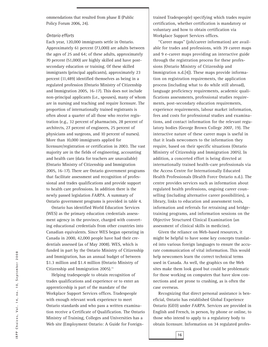ommendations that resulted from phase II (Public Policy Forum 2006, 24).

#### *Ontario efforts*

Each year, 120,000 immigrants settle in Ontario. Approximately 61 percent (73,000) are adults between the ages of 25 and 64; of these adults, approximately 70 percent (51,000) are highly skilled and have postsecondary education or training. Of these skilled immigrants (principal applicants), approximately 23 percent (11,489) identified themselves as being in a regulated profession (Ontario Ministry of Citizenship and Immigration 2005, 16-17). This does not include non-principal applicants (i.e., spouses), many of whom are in nursing and teaching and require licensure. The proportion of internationally trained registrants is often about a quarter of all those who receive registration (e.g., 32 percent of pharmacists, 28 percent of architects, 27 percent of engineers, 25 percent of physicians and surgeons, and 10 percent of nurses). More than 10,000 immigrants applied for licensure/registration or certification in 2003. The vast majority are in the fields of engineering, accounting and health care (data for teachers are unavailable) (Ontario Ministry of Citizenship and Immigration 2005, 16-17). There are Ontario government programs that facilitate assessment and recognition of professional and trades qualifications and provide support to health care professions. In addition there is the newly passed legislation *FARPA.* A summary of Ontario government programs is provided in table 4.

Ontario has identified World Education Services (WES) as the primary education credentials assessment agency in the province, charged with converting educational credentials from other countries into Canadian equivalents. Since WES began operating in Canada in 2000, 42,000 people have had their credentials assessed (as of May 2008). WES, which is funded in part by the Ontario Ministry of Citizenship and Immigration, has an annual budget of between \$1.3 million and \$1.4 million (Ontario Ministry of Citizenship and Immigration 2005).<sup>15</sup>

Helping tradespeople to obtain recognition of trades qualifications and experience or to enter an apprenticeship is part of the mandate of the Workplace Support Services offices. Tradespeople with enough relevant work experience to meet Ontario standards and who pass a written examination receive a Certificate of Qualification. The Ontario Ministry of Training, Colleges and Universities has a Web site (Employment Ontario: A Guide for Foreign-

trained Tradespeople) specifying which trades require certification, whether certification is mandatory or voluntary and how to obtain certification via Workplace Support Services offices.

"Career maps" (job/career information) are available for trades and professions, with 39 career maps and 9 e-career maps providing an interactive guide through the registration process for these professions (Ontario Ministry of Citizenship and Immigration n.d.[4]). These maps provide information on registration requirements, the application process (including what to do while still abroad), language proficiency requirements, academic qualifications assessments, professional studies requirements, post-secondary education requirements, experience requirements, labour market information, fees and costs for professional studies and examinations, and contact information for the relevant regulatory bodies (George Brown College 2007, 19). The interactive nature of these career maps is useful in that it leads newcomers to the information they require, based on their specific situations (Ontario Ministry of Citizenship and Immigration 2005). In addition, a concerted effort is being directed at internationally trained health-care professionals via the Access Centre for Internationally Educated Health Professionals (Health Force Ontario n.d.). The centre provides services such as information about regulated health professions, ongoing career counselling (including alternative career possibilities), a library, links to education and assessment tools, information and referrals for retraining and bridgetraining programs, and information sessions on the Objective Structured Clinical Examination (an assessment of clinical skills in medicine).

Given the reliance on Web-based resources, it might be helpful to have some key concepts translated into various foreign languages to ensure the accurate communication of vital information. This would help newcomers learn the correct technical terms used in Canada. As well, the graphics on the Web sites make them look good but could be problematic for those working on computers that have slow connections and are prone to crashing, as is often the case overseas.

Recognizing that direct personal assistance is beneficial, Ontario has established Global Experience Ontario (GEO) under *FARPA*. Services are provided in English and French, in person, by phone or online, to those who intend to apply to a regulatory body to obtain licensure. Information on 34 regulated profes-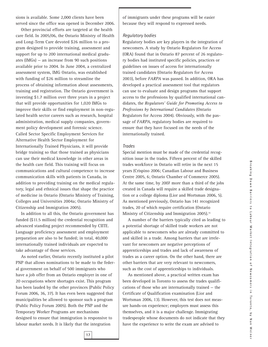sions is available. Some 2,000 clients have been served since the office was opened in December 2006.

Other provincial efforts are targeted at the health care field. In 2005/06, the Ontario Ministry of Health and Long-Term Care devoted \$26 million to a program designed to provide training, assessment and support for up to 200 international medical graduates (IMGs) — an increase from 90 such positions available prior to 2004. In June 2004, a centralized assessment system, IMG Ontario, was established with funding of \$26 million to streamline the process of obtaining information about assessments, training and registration. The Ontario government is investing \$1.7 million over three years in a project that will provide opportunities for 1,020 IMGs to improve their skills or find employment in non-regulated health sector careers such as research, hospital administration, medical supply companies, government policy development and forensic science. Called Sector Specific Employment Services for Alternative Health Sector Employment for Internationally Trained Physicians, it will provide bridge training so that those trained as physicians can use their medical knowledge in other areas in the health care field. This training will focus on communications and cultural competence to increase communication skills with patients in Canada, in addition to providing training on the medical regulatory, legal and ethnical issues that shape the practice of medicine in Ontario (Ontario Ministry of Training, Colleges and Universities 2004a; Ontario Ministry of Citizenship and Immigration 2005).

In addition to all this, the Ontario government has funded (\$11.5 million) the credential recognition and advanced standing project recommended by CIITE. Language proficiency assessment and employment preparation are also to be funded; in total, 40,000 internationally trained individuals are expected to take advantage of those services.

As noted earlier, Ontario recently instituted a pilot PNP that allows nominations to be made to the federal government on behalf of 500 immigrants who have a job offer from an Ontario employer in one of 20 occupations where shortages exist. This program has been lauded by the other provinces (Public Policy Forum 2006, 36, 37). It has even been suggested that municipalities be allowed to sponsor such a program (Public Policy Forum 2005). Both the PNP and the Temporary Worker Programs are mechanisms designed to ensure that immigration is responsive to labour market needs. It is likely that the integration

of immigrants under these programs will be easier because they will respond to expressed needs.

#### *Regulatory bodies*

Regulatory bodies are key players in the integration of newcomers. A study by Ontario Regulators for Access (ORA) found that in Ontario 87 percent of 26 regulatory bodies had instituted specific policies, practices or guidelines on issues of access for internationally trained candidates (Ontario Regulators for Access 2003), before *FARPA* was passed. In addition, ORA has developed a practical assessment tool that regulators can use to evaluate and design programs that support access to the professions by qualified international candidates, the *Regulators' Guide for Promoting Access to Professions by International Candidates* (Ontario Regulators for Access 2004). Obviously, with the passage of *FARPA*, regulatory bodies are required to ensure that they have focused on the needs of the internationally trained.

#### *Trades*

Special mention must be made of the credential recognition issue in the trades. Fifteen percent of the skilled trades workforce in Ontario will retire in the next 15 years (Crispino 2006; Canadian Labour and Business Centre 2005, 6; Ontario Chamber of Commerce 2005). At the same time, by 2007 more than a third of the jobs created in Canada will require a skilled trade designation or a college diploma (Lior and Wortsman 2006, 5). As mentioned previously, Ontario has 141 recognized trades, 20 of which require certification (Ontario Ministry of Citizenship and Immigration 2005).<sup>16</sup>

A number of the barriers typically cited as leading to a potential shortage of skilled trade workers are not applicable to newcomers who are already committed to and skilled in a trade. Among barriers that are irrelevant for newcomers are negative perceptions of apprenticeships and trades and lack of awareness of trades as a career option. On the other hand, there are other barriers that are very relevant to newcomers, such as the cost of apprenticeships to individuals.

As mentioned above, a practical written exam has been developed in Toronto to assess the trades qualifications of those who are internationally trained — the Certificate of Qualification examination (Lior and Wortsman 2006, 13). However, this test does not measure hands-on experience; employers must assess this themselves, and it is a major challenge. Immigrating tradespeople whose documents do not indicate that they have the experience to write the exam are advised to

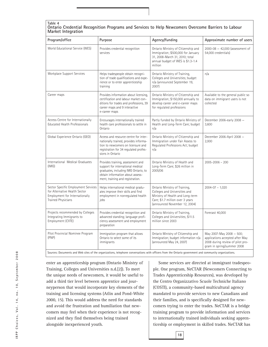#### **Table 4 Ontario Credential Recognition Programs and Services to Help Newcomers Overcome Barriers to Labour Market Integration**

| Program/office                                                                                                                      | Purpose                                                                                                                                                                                | Agency/funding                                                                                                                                                          | Approximate number of users                                                                                                   |  |
|-------------------------------------------------------------------------------------------------------------------------------------|----------------------------------------------------------------------------------------------------------------------------------------------------------------------------------------|-------------------------------------------------------------------------------------------------------------------------------------------------------------------------|-------------------------------------------------------------------------------------------------------------------------------|--|
| World Educational Service (WES)                                                                                                     | Provides credential recognition<br>services                                                                                                                                            | Ontario Ministry of Citizenship and<br>Immigration; \$500,000 for January<br>31, 2008-March 31, 2010; total<br>annual budget of WES is \$1.3-1.4<br>million             | $2000 - 08 - 42,000$ (assessment of<br>54,000 credentials)                                                                    |  |
| <b>Workplace Support Services</b>                                                                                                   | Helps tradespeople obtain recogni-<br>tion of trade qualifications and expe-<br>rience or to enter apprenticeship<br>training                                                          | Ontario Ministry of Training,<br>Colleges and Universities; budget<br>n/a (announced September 19,<br>2007)                                                             | n/a                                                                                                                           |  |
| Career maps                                                                                                                         | Provides information about licensing,<br>certification and labour market con-<br>ditions for trades and professions, 39<br>career maps and 9 interactive<br>e-career maps              | Ontario Ministry of Citizenship and<br>Immigration; \$150,000 annually to<br>develop career and e-career maps<br>for regulated professions                              | Available to the general public so<br>data on immigrant users is not<br>collected                                             |  |
| Access Centre for Internationally<br>Educated Health Professionals                                                                  | Encourages internationally trained<br>health care professionals to settle in<br>Ontario                                                                                                | Partly funded by Ontario Ministry of<br>Health and Long-Term Care; budget<br>n/a                                                                                        | December 2006-early 2008 -<br>3,600                                                                                           |  |
| Global Experience Ontario (GEO)                                                                                                     | Access and resource centre for inter-<br>nationally trained, provides informa-<br>tion to newcomers on licensure and<br>registration for 34 regulated profes-<br>sions in Ontario      | Ontario Ministry of Citizenship and<br>Immigration under Fair Assess to<br>Regulated Professions Act; budget<br>n/a                                                     | December 2006-April 2008 -<br>2,000                                                                                           |  |
| International Medical Graduates<br>(IMG)                                                                                            | Provides training, assessment and<br>support for international medical<br>graduates, including IMG Ontario, to<br>obtain information about assess-<br>ment, training and registration. | Ontario Ministry of Health and<br>Long-Term Care; \$26 million in<br>2005/06                                                                                            | $2005 - 2006 - 200$                                                                                                           |  |
| Sector Specific Employment Services<br>for Alternative Health Sector<br>Employment for Internationally<br><b>Trained Physicians</b> | Helps international medical gradu-<br>ates improve their skills and find<br>employment in nonregulated health<br>jobs                                                                  | Ontario Ministry of Training,<br>Colleges and Universities and<br>Ministry of Health and Long-term<br>Care; \$1.7 million over 3 years<br>(announced November 12, 2004) | $2004 - 07 - 1,020$                                                                                                           |  |
| Projects recommended by Colleges<br>Integrating Immigrants to<br>Employment (CIITE)                                                 | Provides credential recognition and<br>advanced standing; language profi-<br>ciency assessment and employment<br>preparation                                                           | Ontario Ministry of Training,<br>Colleges and Universities; \$11.5<br>million since 2003                                                                                | Forecast 40,000                                                                                                               |  |
| Pilot Provincial Nominee Program<br>(PNP)<br>$-1.381 \cdot 1.133 \cdot 1.133 \cdot 1.033$                                           | Immigration program that allows<br>Ontario to select some of its<br>immigrants                                                                                                         | Ontario Ministry of Citizenship and<br>Immigration; budget information n/a<br>(announced May 24, 2007)                                                                  | May 2007-May 2008 - 500;<br>applications accepted after May<br>2008 during review of pilot pro-<br>gram in spring/summer 2008 |  |

Sources: Documents and Web sites of the organizations, telephone conversations with officers from the Ontario government and community organizations.

enter an apprenticeship program (Ontario Ministry of Training, Colleges and Universities n.d.[2]). To meet the unique needs of newcomers, it would be useful to add a third tier level between apprentice and journeyperson that would incorporate key elements of the training and licensing systems (Atlin and Pond-White 2000, 15). This would address the need for standards and avoid the frustration and humiliation that newcomers may feel when their experience is not recognized and they find themselves being trained alongside inexperienced youth.

Some services are directed at immigrant tradespeople. One program, NeCTAR (Newcomers Connecting to Trades Apprenticeship Resources), was developed by the Centro Organizzativo Scuole Techniche Italiano (COSTI), a community-based multicultural agency mandated to provide services to new Canadians and their families, and is specifically designed for newcomers trying to enter the trades. NeCTAR is a bridge training program to provide information and services to internationally trained individuals seeking apprenticeship or employment in skilled trades. NeCTAR has

IRPP Choices, Vol. 14, no. 10, September 2008 **IRPP Choices, Vol. 14, no. 10, September 2008**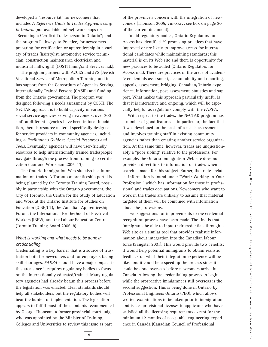developed a "resource kit" for newcomers that includes *A Reference Guide to Trades Apprenticeship in Ontario* (not available online); workshops on "Becoming a Certified Tradesperson in Ontario"; and the program Pathways to Practice, for newcomers preparing for certification or apprenticeship in a variety of trades (hairstylist, automotive service technician, construction maintenance electrician and industrial millwright) (COSTI Immigrant Services n.d.).

The program partners with ACCES and JVS (Jewish Vocational Service of Metropolitan Toronto), and it has support from the Consortium of Agencies Serving Internationally Trained Persons (CASIP) and funding from the Ontario government. The program was designed following a needs assessment by COSTI. The NeCTAR approach is to build capacity in various social service agencies serving newcomers; over 200 staff at different agencies have been trained. In addition, there is resource material specifically designed for service providers in community agencies, including *A Facilitator's Guide to Special Resources and Tools*. Eventually, agencies will have user-friendly resources to help internationally trained tradespeople navigate through the process from training to certification (Lior and Wortsman 2006, 13).

The Ontario Immigration Web site also has information on trades. A Toronto apprenticeship portal is being planned by the Toronto Training Board, possibly in partnership with the Ontario government, the City of Toronto, the Centre for the Study of Education and Work at the Ontario Institute for Studies on Education (OISE/UT), the Canadian Apprenticeship Forum, the International Brotherhood of Electrical Workers (IBEW) and the Labour Education Centre (Toronto Training Board 2006, 8).

#### *What is working and what needs to be done in credentialing*

Credentialing is a key barrier that is a source of frustration both for newcomers and for employers facing skill shortages. *FARPA* should have a major impact in this area since it requires regulatory bodies to focus on the internationally educated/trained. Many regulatory agencies had already begun this process before the legislation was enacted. Clear standards should help all stakeholders, but the regulatory bodies will bear the burden of implementation. The legislation appears to fulfill most of the standards recommended by George Thomson, a former provincial court judge who was appointed by the Minister of Training, Colleges and Universities to review this issue as part

of the province's concern with the integration of newcomers (Thomson 2005, viii-xxiv; see box on page 20 of the current document).

To aid regulatory bodies, Ontario Regulators for Access has identified 29 promising practices that have improved or are likely to improve access for international candidates while maintaining standards; this material is on its Web site and there is opportunity for new practices to be added (Ontario Regulators for Access n.d.). There are practices in the areas of academic credentials assessment, accountability and reporting, appeals, assessment, bridging, Canadian/Ontario experience, information, post-assessment, statistics and support. What makes this approach particularly useful is that it is interactive and ongoing, which will be especially helpful as regulators comply with the *FARPA.*

With respect to the trades, the NeCTAR program has a number of good features — in particular, the fact that it was developed on the basis of a needs assessment and involves training staff in existing community agencies rather than creating another service organization. At the same time, however, trades are unquestionably a "poor sibling" relative to the professions. For example, the Ontario Immigration Web site does not provide a direct link to information on trades when a search is made for this subject. Rather, the trades-related information is found under "Work: Working in Your Profession," which has information for those in professional and trades occupations. Newcomers who want to work in the trades are unlikely to assume that material targeted at them will be combined with information about the professions.

Two suggestions for improvements to the credential recognition process have been made. The first is that immigrants be able to input their credentials through a Web site or a similar tool that provides realistic information about integration into the Canadian labour force (Sangster 2001). This would provide two benefits: it would help potential immigrants to obtain realistic feedback on what their integration experience will be like; and it could help speed up the process since it could be done overseas before newcomers arrive in Canada. Allowing the credentialing process to begin while the prospective immigrant is still overseas is the second suggestion. This is being done in Ontario by Professional Engineers Ontario (PEO), which allows written examinations to be taken prior to immigration and issues provisional licenses to applicants who have satisfied all the licensing requirements except for the minimum 12 months of acceptable engineering experience in Canada (Canadian Council of Professional

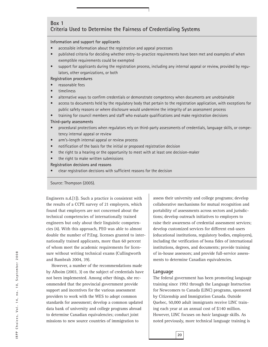#### **Box 1 Criteria Used to Determine the Fairness of Credentialing Systems**

#### **Information and support for applicants**

- accessible information about the registration and appeal processes
- published criteria for deciding whether entry-to-practice requirements have been met and examples of when exemptible requirements could be exempted
- support for applicants during the registration process, including any internal appeal or review, provided by regulators, other organizations, or both

**Registration procedures**

- reasonable fees
- timeliness
- alternative ways to confirm credentials or demonstrate competency when documents are unobtainable
- access to documents held by the regulatory body that pertain to the registration application, with exceptions for public safety reasons or where disclosure would undermine the integrity of an assessment process

• training for council members and staff who evaluate qualifications and make registration decisions

#### **Third-party assessments**

- procedural protections when regulators rely on third-party assessments of credentials, language skills, or competency internal appeal or review
- arm's-length internal appeal or review process
- notification of the basis for the initial or proposed registration decision
- the right to a hearing or the opportunity to meet with at least one decision-maker
- the right to make written submissions

#### **Registration decisions and reasons**

• clear registration decisions with sufficient reasons for the decision

Source: Thompson (2005).

Engineers n.d.[1]). Such a practice is consistent with the results of a CCPE survey of 21 employers, which found that employers are not concerned about the technical competencies of internationally trained engineers but only about their linguistic competencies (4). With this approach, PEO was able to almost double the number of P.Eng. licenses granted to internationally trained applicants, more than 60 percent of whom meet the academic requirements for licensure without writing technical exams (Cullingworth and Bambrah 2004, 39).

However, a number of the recommendations made by Alboim (2003, 3) on the subject of credentials have not been implemented. Among other things, she recommended that the provincial government provide support and incentives for the various assessment providers to work with the WES to adopt common standards for assessment; develop a common updated data bank of university and college programs abroad to determine Canadian equivalencies; conduct joint missions to new source countries of immigration to

assess their university and college programs; develop collaborative mechanisms for mutual recognition and portability of assessments across sectors and jurisdictions; develop outreach initiatives to employers to raise their awareness of credential assessment services; develop customized services for different end-users (educational institutions, regulatory bodies, employers), including the verification of bona fides of international institutions, degrees, and documents; provide training of in-house assessors; and provide full-service assessments to determine Canadian equivalencies.

#### **Language**

The federal government has been promoting language training since 1992 through the Language Instruction for Newcomers to Canada (LINC) programs, sponsored by Citizenship and Immigration Canada. Outside Quebec, 50,000 adult immigrants receive LINC training each year at an annual cost of \$140 million. However, LINC focuses on *basic* language skills. As noted previously, more technical language training is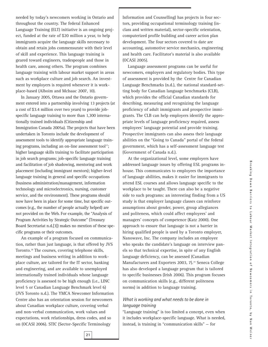needed by today's newcomers working in Ontario and throughout the country. The federal Enhanced Language Training (ELT) initiative is an ongoing project, funded at the rate of \$20 million a year, to help immigrants acquire the language skills necessary to obtain and retain jobs commensurate with their level of skill and experience. This language training is geared toward engineers, tradespeople and those in health care, among others. The program combines language training with labour market support in areas such as workplace culture and job search. An investment by employers is required whenever it is workplace-based (Alboim and McIsaac 2007, 10).

In January 2005, Ottawa and the Ontario government entered into a partnership involving 13 projects (at a cost of \$3.4 million over two years) to provide jobspecific language training to more than 1,300 internationally trained individuals (Citizenship and Immigration Canada 2005a). The projects that have been undertaken in Toronto include the development of assessment tools to identify appropriate language training programs, including an on-line assessment tool<sup>17</sup>; higher language skills training to facilitate participation in job search programs; job-specific language training and facilitation of job shadowing, mentoring and work placement (including immigrant mentors); higher-level language training in general and specific occupations (business administration/management, information technology and microelectronics, nursing, customer service, and the environment). These programs should now have been in place for some time, but specific outcomes (e.g., the number of people actually helped) are not provided on the Web. For example, the "Analysis of Program Activities by Strategic Outcome" (Treasury Board Secretariat n.d.[3]) makes no mention of these specific programs or their outcomes.

An example of a program focused on communication, rather than just language, is that offered by JVS Toronto.18 The courses, covering telephone skills, meetings and business writing in addition to workplace culture, are tailored for the IT sector, banking and engineering, and are available to unemployed internationally trained individuals whose language proficiency is assessed to be high enough (i.e., LINC level 5 or Canadian Language Benchmark level 6) (JVS Toronto n.d.). The YMCA Newcomer Information Centre also has an orientation session for newcomers about Canadian workplace culture, covering verbal and non-verbal communication, work values and expectations, work relationships, dress codes, and so on (OCASI 2006). STIC (Sector-Specific Terminology

Information and Counselling) has projects in four sectors, providing occupational terminology training (inclass and written material), sector-specific orientation, computerized profile building and career action plan development. The four sectors covered to date are accounting, automotive service mechanics, engineering and health care. Facilitator's material is also available (OCASI 2005).

Language assessment programs can be useful for newcomers, employers and regulatory bodies. This type of assessment is provided by the Centre for Canadian Language Benchmarks (n.d.), the national standard-setting body for Canadian language benchmarks (CLB), which provides the official Canadian standards for describing, measuring and recognizing the language proficiency of adult immigrants and prospective immigrants. The CLB can help employers identify the appropriate levels of language proficiency required, assess employees' language potential and provide training. Prospective immigrants can also assess their language abilities on the "Going to Canada" portal of the federal government, which has a self-assessment language test (Government of Canada n.d.).

At the organizational level, some employers have addressed language issues by offering ESL programs inhouse. This communicates to employees the importance of language abilities, makes it easier for immigrants to attend ESL courses and allows language specific to the workplace to be taught. There can also be a negative side to such programs: an interesting finding from a US study is that employer language classes can reinforce assumptions about gender, power, group allegiances and politeness, which could affect employees' and managers' concepts of competence (Katz 2000). One approach to ensure that language is not a barrier in hiring qualified people is used by a Toronto employer, Nanowave, Inc. The company includes an employee who speaks the candidate's language on interview panels so that technical expertise, in spite of any English language deficiency, can be assessed (Canadian Manufacturers and Exporters 2003, 7).<sup>19</sup> Seneca College has also developed a language program that is tailored to specific businesses (Irish 2006). This program focuses on communication skills (e.g., different politeness norms) in addition to language training.

#### *What is working and what needs to be done in language training*

"Language training" is too limited a concept, even when it includes workplace-specific language. What is needed, instead, is training in "communication skills" — for

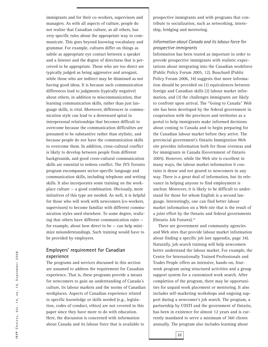immigrants and for their co-workers, supervisors and managers. As with all aspects of culture, people do not realize that Canadian culture, as all others, has very specific rules about the appropriate way to communicate. This goes beyond knowing vocabulary and grammar. For example, cultures differ on things as subtle as appropriate eye contact between a speaker and a listener and the degree of directness that is perceived to be appropriate. Those who are too direct are typically judged as being aggressive and arrogant, while those who are indirect may be dismissed as not having good ideas. It is because such communication differences lead to judgments (typically negative) about others, in addition to miscommunication, that learning communication skills, rather than just language skills, is vital. Moreover, differences in communication style can lead to a downward spiral in interpersonal relationships that becomes difficult to overcome because the communication difficulties are presumed to be substantive rather than stylistic, and because people do not have the communication skills to overcome them. In addition, cross-cultural conflict is likely to develop between people from different backgrounds, and good cross-cultural communication skills are essential to redress conflict. The JVS Toronto program encompasses sector-specific language and communication skills, including telephone and writing skills. It also incorporates some training on the workplace culture — a good combination. Obviously, more initiatives of this type are needed. As well, it is helpful for those who will work with newcomers (co-workers, supervisors) to become familiar with different communication styles used elsewhere. To some degree, realizing that others have different communication rules for example, about how direct to be  $-$  can help minimize misunderstandings. Such training would have to be provided by employers.

#### **Employers' requirement for Canadian experience**

The programs and services discussed in this section are assumed to address the requirement for Canadian experience. That is, these programs provide a means for newcomers to gain an understanding of Canada's culture, its labour markets and the norms of Canadian workplaces. Aspects of Canadian experience related to specific knowledge or skills needed (e.g., legislation, codes of conduct, ethics) are not covered in this paper since they have more to do with education. Here, the discussion is concerned with information about Canada and its labour force that is available to

prospective immigrants and with programs that contribute to socialization, such as networking, internship, bridging and mentoring.

#### *Information about Canada and its labour force for prospective immigrants*

Information has been touted as important in order to provide prospective immigrants with realistic expectations about integrating into the Canadian workforce (Public Policy Forum 2005, 12). Bouchard (Public Policy Forum 2006, 34) suggests that more information should be provided on (1) equivalences between foreign and Canadian skills (2) labour market information, and (3) the challenges immigrants are likely to confront upon arrival. The "Going to Canada" Web site has been developed by the federal government in cooperation with the provinces and territories as a portal to help immigrants make informed decisions about coming to Canada and to begin preparing for the Canadian labour market before they arrive. The provincial government's Ontario Immigration Web site provides information both for those overseas and for immigrants in Canada (Government of Ontario 2005). However, while the Web site is excellent in many ways, the labour market information it contains is dense and not geared to newcomers in any way. There is a great deal of information, but its relevance in helping anyone to find employment is unclear. Moreover, it is likely to be difficult to understand for those for whom English is a second language. Interestingly, one can find better labour market information on a Web site that is the result of a joint effort by the Ontario and federal governments (Ontario Job Futures).20

There are government and community agencies and Web sites that provide labour market information about finding a specific job (see appendix, page 34). Naturally, job search training will help newcomers better understand the labour market. For example, the Centre for Internationally Trained Professionals and Trades People offers an intensive, hands-on, fourweek program using structured activities and a group support system for a customized work search. After completion of the program, there may be opportunities for unpaid work placement or mentoring. It also includes self-marketing workshops and ongoing support during a newcomer's job search. The program, a partnership by COSTI and the government of Ontario, has been in existence for almost 12 years and is currently mandated to serve a minimum of 360 clients annually. The program also includes learning about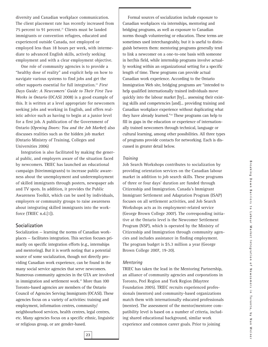diversity and Canadian workplace communication. The client placement rate has recently increased from 75 percent to 91 percent.<sup>21</sup> Clients must be landed immigrants or convention refugees, educated and experienced outside Canada, not employed or employed less than 18 hours per week, with intermediate to advanced English skills, actively seeking employment and with a clear employment objective.

One role of community agencies is to provide a "healthy dose of reality" and explicit help on how to navigate various systems to find jobs and get the other supports essential for full integration.22 *First Days Guide: A Newcomers' Guide to Their First Two Weeks in Ontario* (OCASI 2008) is a good example of this. It is written at a level appropriate for newcomers seeking jobs and working in English, and offers realistic advice such as having to begin at a junior level for a first job. A publication of the Government of Ontario (*Opening Doors: You and the Job Market*) also discusses realities such as the hidden job market (Ontario Ministry of Training, Colleges and Universities 2006)

Integration is also facilitated by making the general public, and employers aware of the situation faced by newcomers. TRIEC has launched an educational campaign (hireimmigrants) to increase public awareness about the unemployment and underemployment of skilled immigrants through posters, newspaper ads and TV spots. In addition, it provides the Public Awareness Toolkit, which can be used by individuals, employers or community groups to raise awareness about integrating skilled immigrants into the workforce (TRIEC n.d.[1]).

#### **Socialization**

Socialization — learning the norms of Canadian workplaces — facilitates integration. This section focuses primarily on specific integration efforts (e.g., internships and mentoring). But it is worth noting that a potential source of some socialization, though not directly providing Canadian work experience, can be found in the many social service agencies that serve newcomers. Numerous community agencies in the GTA are involved in immigration and settlement work.<sup>23</sup> More than 100 Toronto-based agencies are members of the Ontario Council of Agencies Serving Immigrants (OCASI). These agencies focus on a variety of activities: training and employment, information centres, community/ neighbourhood services, health centres, legal centres, etc. Many agencies focus on a specific ethnic, linguistic or religious group, or are gender-based.

Formal sources of socialization include exposure to Canadian workplaces via internships, mentoring and bridging programs, as well as exposure to Canadian norms though volunteering or education. These terms are sometimes used interchangeably, but it is useful to distinguish between them: mentoring programs generally tend to link a newcomer on a one-to-one basis with someone in her/his field, while internship programs involve actually working within an organizational setting for a specific length of time. These programs can provide actual Canadian work experience. According to the Ontario Immigration Web site, bridging programs are "intended to help qualified internationally trained individuals move quickly into the labour market [by]... assessing their existing skills and competencies [and]... providing training and Canadian workplace experience without duplicating what they have already learned."24 These programs can help to fill in gaps in the education or experience of internationally trained newcomers through technical, language or cultural learning, among other possibilities. All three types of programs provide contacts for networking. Each is discussed in greater detail below.

#### *Training*

Job Search Workshops contributes to socialization by providing orientation services on the Canadian labour market in addition to job search skills. These programs of three or four days' duration are funded through Citizenship and Immigration. Canada's Immigrant Immigrant Settlement and Adaptation Program (ISAP) focuses on all settlement activities, and Job Search Workshops acts as its employment-related service (George Brown College 2007). The corresponding initiative at the Ontario level is the Newcomer Settlement Program (NSP), which is operated by the Ministry of Citizenship and Immigration through community agencies and includes assistance in finding employment. The program budget is \$5.3 million a year (George Brown College 2007, 19-20).

#### *Mentoring*

TRIEC has taken the lead in the Mentoring Partnership, an alliance of community agencies and corporations in Toronto, Peel Region and York Region (Maytree Foundation 2005). TRIEC recruits experienced professionals (mentors) and community-based organizations match them with internationally educated professionals (mentee). The assessment of the mentor/mentoree compatibility level is based on a number of criteria, including shared educational background, similar work experience and common career goals. Prior to joining

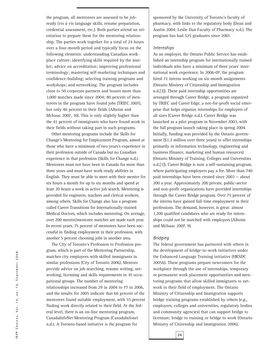the program, all mentorees are assessed to be jobready (*vis à vis* language skills, resume preparation, credential assessment, etc.). Both parties attend an orientation to prepare them for the mentoring relationship. The parties work together for a total of 24 hours over a four-month period and typically focus on the following elements: understanding Canadian workplace culture; identifying skills required by the market; advice on accreditation; improving professional terminology; mastering self-marketing techniques and confidence-building; selecting training programs and workshops; and networking. The program includes close to 50 corporate partners and boasts more than 3,000 matches made since 2004; 80 percent of mentorees in the program have found jobs (TRIEC 2007), but only 46 percent in their fields (Alboim and McIsaac 2007, 10). This is only slightly higher than the 41 percent of immigrants who have found work in their fields without taking part in such programs.

Other mentoring programs include the Skills for Change's Mentoring for Employment Program, aimed at those who have a minimum of two years's experience in their profession outside of Canada but no Canadian experience in that profession (Skills for Change n.d.). Mentorees must not have been in Canada for more than three years and must have work-ready abilities in English. They must be able to meet with their mentor for six hours a month for up to six months and spend at least 20 hours a week in active job search. Mentoring is provided for engineers, teachers and clerical workers, among others. Skills for Change also has a program called Career Transitions for Internationally-trained Medical Doctors, which includes mentoring. On average, over 200 mentor/mentoree matches are made each year. In recent years, 75 percent of mentorees have been successful in finding employment in their profession, with another 5 percent choosing jobs in another area.

The City of Toronto's Profession to Profession program, which is part of the Mentoring Partnership, matches city employees with skilled immigrants in similar professions (City of Toronto 2006). Mentors provide advice on job searching, resume writing, networking, licensing and skills requirements in 10 occupational groups. The number of mentoring relationships increased from 29 in 2004 to 77 in 2006, and the results for 2005 indicate that 66 percent of the mentorees found suitable employment, with 55 percent finding work directly related to their field. At the federal level, there is an on-line mentoring program, CanadaInfoNet Mentoring Program (CanadaInfonet n.d.). A Toronto-based initiative is the program for

sponsored by the University of Toronto's faculty of pharmacy, with links to the regulatory body (Dean and Austin 2004; Leslie Dan Faculty of Pharmacy n.d.). The program has had 525 graduates since 2001.

#### *Internships*

As an employer, the Ontario Public Service has established an internship program for internationally trained individuals who have a minimum of three years' international work experience. In 2006-07, the program hired 72 interns working on six-month assignments (Ontario Ministry of Citizenship and Immigration n.d.[3]). These paid internship opportunities are arranged through Career Bridge, a program organized by TRIEC and Career Edge, a not-for-profit social enterprise that helps organize internships for employers of all sizes (Career Bridge n.d.). Career Bridge was launched as a pilot program in November 2003, with the full program launch taking place in spring 2004. Initially, funding was provided by the Ontario government (\$1.2 million over three years) to offer internships primarily in information technology, engineering and business (finance, marketing and human resources) (Ontario Ministry of Training, Colleges and Universities n.d.[1]). Career Bridge is now a self-sustaining program, where participating employers pay a fee. More than 740 paid internships have been created since 2003 — about 200 a year. Approximately 200 private, public-sector and non-profit organizations have provided internships through the Career Bridge program. Over 75 percent of the interns have gained full-time employment in their professions. The demand, however, is great: almost 1,200 qualified candidates who are ready for internships could not be matched with employers (Alboim and McIsaac 2007, 9).

#### *Bridging*

The federal government has partnered with others in the development of bridge-to-work initiatives under the Enhanced Language Training initiative (HRSDC 2005b). These programs prepare newcomers for the workplace through the use of internships, temporary or permanent work placement opportunities and mentoring programs that allow skilled immigrants to network in their field of employment. The Ontario Ministry of Citizenship and Immigration supports bridge training programs established by others (e.g., employers, colleges and universities, regulatory bodies and community agencies) that can support bridge to licensure, bridge to training or bridge to work (Ontario Ministry of Citizenship and Immigration 2006).

**24**

IRPP Choices, Vol. 14, no. 10, September 2008 **IRPP Choices, Vol. 14, no. 10, September 2008**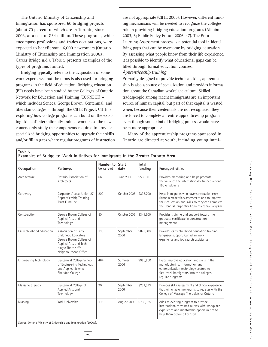The Ontario Ministry of Citizenship and Immigration has sponsored 60 bridging projects (about 70 percent of which are in Toronto) since 2003, at a cost of \$34 million. These programs, which encompass professions and trades occupations, were expected to benefit some 6,000 newcomers (Ontario Ministry of Citizenship and Immigration 2006a; Career Bridge n.d.). Table 5 presents examples of the types of programs funded.

Bridging typically refers to the acquisition of some work experience, but the terms is also used for bridging programs in the field of education. Bridging education (BE) needs have been studied by the Colleges of Ontario Network for Education and Training (CONNECT) which includes Seneca, George Brown, Centennial, and Sheridan colleges — through the CIITE Project. CIITE is exploring how college programs can build on the existing skills of internationally trained workers so the newcomers only study the components required to provide specialized bridging opportunities to upgrade their skills and/or fill in gaps where regular programs of instruction

**Table 5**

are not appropriate (CIITE 2005). However, different funding mechanisms will be needed to recognize the colleges' role in providing bridging education programs (Alboim 2003, 5; Public Policy Forum 2006, 47). The Prior Learning Assessment process is a potential tool in identifying gaps that can be overcome by bridging education. By assessing what people know from their life experience, it is possible to identify what educational gaps can be filled through formal education courses. *Apprenticeship training* 

Primarily designed to provide technical skills, apprenticeship is also a source of socialization and provides information about the Canadian workplace culture. Skilled tradespeople among recent immigrants are an important source of human capital, but part of that capital is wasted when, because their credentials are not recognized, they are forced to complete an entire apprenticeship program even though some kind of bridging process would have been more appropriate.

Many of the apprenticeship programs sponsored in Ontario are directed at youth, including young immi-

| Occupation                | Partner/s                                                                                                                                        | Number to<br>be served | <b>Start</b><br>date | Total<br>funding | Focus/activities                                                                                                                                                                                   |
|---------------------------|--------------------------------------------------------------------------------------------------------------------------------------------------|------------------------|----------------------|------------------|----------------------------------------------------------------------------------------------------------------------------------------------------------------------------------------------------|
| Architecture              | Ontario Association of<br>Architects                                                                                                             | 66                     | June 2006            | \$58,100         | Provides mentoring and helps promote<br>the value of the internationally trained among<br>150 employers                                                                                            |
| Carpentry                 | Carpenters' Local Union 27;<br>Apprenticeship Training<br>Trust Fund Inc.                                                                        | 200                    | October 2006         | \$335,700        | Helps immigrants who have construction expe-<br>rience in credentials assessment and to improve<br>their education and skills so they can complete<br>the General Carpentry Apprenticeship Program |
| Construction              | George Brown College of<br>Applied Arts and<br>Technology                                                                                        | 50                     | October 2006         | \$341,300        | Provides training and support toward the<br>graduate certificate in construction<br>management                                                                                                     |
| Early childhood education | Association of Early<br>Childhood Educators;<br>George Brown College of<br>Applied Arts and Techn-<br>ology; Thorncliffe<br>Neighbourhood Office | 135                    | September<br>2006    | \$871,000        | Provides early childhood education training,<br>language support, Canadian work<br>experience and job search assistance                                                                            |
| Engineering technology    | Centennial College School<br>of Engineering Technology<br>and Applied Science;<br>Sheridan College                                               | 464                    | Summer<br>2006       | \$986,800        | Helps improve education and skills in the<br>manufacturing, information and<br>communication technology sectors to<br>fast-track immigrants into the colleges'<br>regular programs                 |
| Massage therapy           | Centennial College of<br>Applied Arts and<br>Technology                                                                                          | 20                     | September<br>2006    | \$231,593        | Provides skills assessment and clinical experience<br>that will enable immigrants to register with the<br>College of Massage Therapists of Ontario                                                 |
| Nursing                   | York University                                                                                                                                  | 108                    | August 2006          | \$789,135        | Adds to existing program to provide<br>internationally trained nurses with workplace<br>experience and mentorship opportunities to<br>help them become licensed                                    |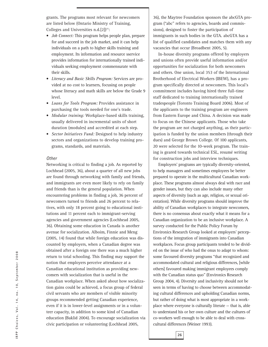grants. The programs most relevant for newcomers are listed below (Ontario Ministry of Training, Colleges and Universities n.d. $[2]$ <sup>25</sup>:

- *Job Connect:* This program helps people plan, prepare for and succeed in the job market, and it can help individuals on a path to higher skills training and employment. Its information and resource sservice provides information for internationally trained individuals seeking employment commensurate with their skills.
- *Literacy and Basic Skills Program:* Services are provided at no cost to learners, focusing on people whose literacy and math skills are below the Grade 9 level.
- *Loans for Tools Program:* Provides assistance in purchasing the tools needed for one's trade.
- *Modular training:* Workplace-based skills training, usually delivered in incremental units of short duration (modules) and accredited at each step.
- *Sector Initiatives Fund:* Designed to help industry sectors and organizations to develop training programs, standards, and materials.

#### *Other*

Networking is critical to finding a job. As reported by Lochhead (2005, 36), about a quarter of all new jobs are found through networking with family and friends, and immigrants are even more likely to rely on family and friends than is the general population. When encountering problems in finding a job, 36 percent of newcomers turned to friends and 26 percent to relatives, with only 18 percent going to educational institutions and 11 percent each to immigrant-serving agencies and government agencies (Lochhead 2005, 36). Obtaining some education in Canada is another avenue for socialization. Alboim, Finnie and Meng (2005, 14) found that while foreign education was discounted by employers, when a Canadian degree was obtained after a foreign one there was a much higher return to total schooling. This finding may support the notion that employers perceive attendance at a Canadian educational institution as providing newcomers with socialization that is useful in the Canadian workplace. When asked about how socialization gains could be achieved, a focus group of federal civil servants who are members of visible minority groups recommended getting Canadian experience, even if it is in lower-level assignments or in a volunteer capacity, in addition to some kind of Canadian education (Baklid 2004). To encourage socialization via civic participation or volunteering (Lochhead 2005,

36), the Maytree Foundation sponsors the abcGTA program ("abc" refers to agencies, boards and commissions), designed to foster the participation of immigrants in such bodies in the GTA. abcGTA has a list of qualified candidates and matches them with any vacancies that occur (Broadbent 2005, 5).

In-house diversity programs offered by employers and unions often provide useful information and/or opportunities for socialization for both newcomers and others. One union, local 353 of the International Brotherhood of Electrical Workers (IBEW), has a program specifically directed at newcomers. This local's commitment includes having hired three full-time staff dedicated to training internationally trained tradespeople (Toronto Training Board 2006). Most of the applicants to the training program are engineers from Eastern Europe and China. A decision was made to focus on the Chinese applicants. Those who take the program are not charged anything, as their participation is funded by the union members (through their dues) and George Brown College. Of 100 applicants, 20 were selected for the 10-week program. The training is geared towards technical ESL, resumé writing for construction jobs and interview techniques.

Employers' programs are typically diversity-oriented, to help managers and sometimes employees be better prepared to operate in the multicultural Canadian workplace. These programs almost always deal with race and gender issues, but they can also include many other aspects of diversity (such as age, religion, or sexual orientation). While diversity programs should improve the ability of Canadian workplaces to integrate newcomers, there is no consensus about exactly what it means for a Canadian organization to be an inclusive workplace. A survey conducted for the Public Policy Forum by Environics Research Group looked at employers' perceptions of the integration of immigrants into Canadian workplaces. Focus group participants tended to be divided on the issue of who had the onus to adapt to whom: some favoured diversity programs "that recognized and accommodated cultural and religious differences, [while others] favoured making immigrant employees comply with the Canadian status quo" (Environics Research Group 2004, 4). Diversity and inclusivity should not be seen in terms of having to choose between accommodating cultural differences and upholding Canadian norms, but rather of doing what is most appropriate in a workplace where everyone is culturally literate — that is, able to understand his or her own culture and the cultures of co-workers well enough to be able to deal with crosscultural differences (Weiner 1993).

**26**

IRPP Choices, Vol. 14, no. 10, September 2008 **IRPP Choices, Vol. 14, no. 10, September 2008**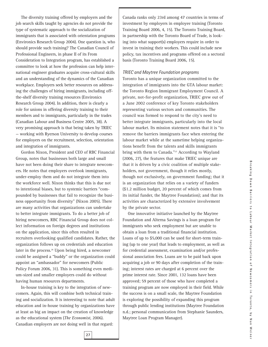The diversity training offered by employers and the job search skills taught by agencies do not provide the type of systematic approach to the socialization of immigrants that is associated with orientation programs (Environics Research Group 2004). One question is, who should provide such training? The Canadian Council of Professional Engineers, in phase II of its From Consideration to Integration program, has established a committee to look at how the profession can help international engineer graduates acquire cross-cultural skills and an understanding of the dynamics of the Canadian workplace. Employers seek better resources on addressing the challenges of hiring immigrants, including offthe-shelf diversity training resources (Environics Research Group 2004). In addition, there is clearly a role for unions in offering diversity training to their members and to immigrants, particularly in the trades (Canadian Labour and Business Centre 2005, 38). A very promising approach is that being taken by TRIEC — working with Ryerson University to develop courses for employers on the recruitment, selection, orientation and integration of immigrants.

Gordon Nixon, President and CEO of RBC Financial Group, notes that businesses both large and small have not been doing their share to integrate newcomers. He notes that employers overlook immigrants, under-employ them and do not integrate them into the workforce well. Nixon thinks that this is due not to intentional biases, but to systemic barriers "compounded by businesses that fail to recognize the business opportunity from diversity" (Nixon 2005). There are many activities that organizations can undertake to better integrate immigrants. To do a better job of hiring newcomers, RBC Financial Group does not collect information on foreign degrees and institutions on the application, since this often resulted in recruiters overlooking qualified candidates. Rather, the organization follows up on credentials and education later in the process.<sup>26</sup> Upon being hired, a newcomer could be assigned a "buddy" or the organization could appoint an "ambassador" for newcomers (Public Policy Forum 2006, 31). This is something even medium-sized and smaller employers could do without having human resources departments.

In-house training is key to the integration of newcomers. Again, this will combine both technical training and socialization. It is interesting to note that adult education and in-house training by organizations have at least as big an impact on the creation of knowledge as the educational system (*The Economist*, 2006). Canadian employers are not doing well in that regard:

Canada ranks only 23rd among 47 countries in terms of investment by employers in employee training (Toronto Training Board 2006, 4, 15). The Toronto Training Board, in partnership with the Toronto Board of Trade, is looking into what support(s) employers require in order to invest in training their workers. This could include new policy, tax incentives and programs offered on a sectoral basis (Toronto Training Board 2006, 15).

#### *TRIEC and Maytree Foundation programs*

Toronto has a unique organization committed to the integration of immigrants into the GTA labour market: the Toronto Region Immigrant Employment Council. A private, not-for-profit organization, TRIEC grew out of a June 2002 conference of key Toronto stakeholders representing various sectors and communities. The council was formed to respond to the city's need to better integrate immigrants, particularly into the local labour market. Its mission statement notes that it is "to remove the barriers immigrants face when entering the labour market while at the sametime helping organizations benefit from the talents and skills immigrants bring with them to Canada."<sup>27</sup> According to Wayland (2006, 27), the features that make TRIEC unique are that it is driven by a civic coalition of multiple stakeholders, not government, though it relies mostly, though not exclusively, on government funding; that it is an organization that relies on a variety of funders (\$1.2 million budget, 20 percent of which comes from its initial funder, the Maytree Foundation); and that its activities are characterized by extensive involvement by the private sector.

One innovative initiative launched by the Maytree Foundation and Alterna Savings is a loan program for immigrants who seek employment but are unable to obtain a loan from a traditional financial institution. Loans of up to \$5,000 can be used for short-term training (up to one year) that leads to employment, as well as for credential assessment, examination and/or professional association fees. Loans are to be paid back upon acquiring a job or 90 days after completion of the training; interest rates are charged at 6 percent over the prime interest rate. Since 2001, 132 loans have been approved; 59 percent of those who have completed a training program are now employed in their field. While the success is on a small scale, the Maytree Foundation is exploring the possibility of expanding this program through public lending institutions (Maytree Foundation n.d.; personal communication from Stephanie Saunders, Maytree Loan Program Manager).

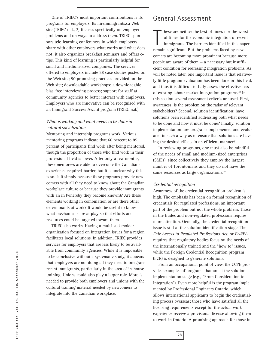One of TRIEC's most important contributions is its programs for employers. Its hireImmigrants.ca Web site (TRIEC n.d., 2) focuses specifically on employer problems and on ways to address them. TRIEC sponsors tele-learning conferences in which employers share with other employers what works and what does not; it also organizes breakfast seminars and offers etips. This kind of learning is particularly helpful for small and medium-sized companies. The services offered to employers include 28 case studies posted on the Web site; 90 promising practices provided on the Web site; downloadable workshops; a downloadable bias-free interviewing process; support for staff at community agencies to better interact with employers. Employers who are innovative can be recognized with an Immigrant Success Award program (TRIEC n.d.).

#### *What is working and what needs to be done in cultural socialization*

Mentoring and internship programs work. Various mentoring programs indicate that 66 percent to 85 percent of participants find work after being mentored, though the proportion of those who find work in their professional field is lower. After only a few months, these mentorees are able to overcome the Canadianexperience-required-barrier, but it is unclear why this is so. Is it simply because these programs provide newcomers with all they need to know about the Canadian workplace culture or because they provide immigrants with an in (whereby they become known)? Are these elements working in combination or are there other determinants at work? It would be useful to know what mechanisms are at play so that efforts and resources could be targeted toward them.

TRIEC also works. Having a multi-stakeholder organization focused on integration issues for a region facilitates local solutions. In addition, TRIEC provides services for employers that are less likely to be available from community agencies. While it is impossible to be conclusive without a systematic study, it appears that employers are not doing all they need to integrate recent immigrants, particularly in the area of in-house training. Unions could also play a larger role. More is needed to provide both employers and unions with the cultural training material needed by newcomers to integrate into the Canadian workplace.

## General Assessment

hese are neither the best of times nor the worse of times for the economic integration of recernimigrants. The barriers identified in this paper remain significant. But the problems faced by newhese are neither the best of times nor the worst of times for the economic integration of recent immigrants. The barriers identified in this paper comers are becoming more prominent because more people are aware of them — a necessary but insufficient condition for redressing integration problems. As will be noted later, one important issue is that relatively little program evaluation has been done in this field, and thus it is difficult to fully assess the effectiveness of existing labour market integration programs.<sup>28</sup> In this section several assessment criteria are used. First, awareness: is the problem on the radar of relevant stakeholders? Second, solution identification: have solutions been identified addressing both what needs to be done and how it must be done? Finally, solution implementation: are programs implemented and evaluated in such a way as to ensure that solutions are having the desired effects in an efficient manner?

In reviewing programs, one must also be mindful of the needs of small and medium-sized enterprises (SMEs), since collectively they employ the largest number of Torontonians and they do not have the same resources as large organizations.<sup>29</sup>

#### *Credential recognition*

Awareness of the credential recognition problem is high. The emphasis has been on formal recognition of credentials for regulated professions, an important part of the problem but not the whole problem. Those in the trades and non-regulated professions require more attention. Generally, the credential recognition issue is still at the solution identification stage. The *Fair Access to Regulated Professions Act*, or *FARPA* requires that regulatory bodies focus on the needs of the internationally trained and the "how to" issues, while the Foreign Credential Recognition program (FCR) is designed to generate solutions.

From an occupational point of view, the CCPE provides examples of programs that are at the solution implementation stage (e.g., "From Consideration to Integration"). Even more helpful is the program implemented by Professional Engineers Ontario, which allows international applicants to begin the credentialing process overseas; those who have satisfied all the licensing requirements except for the actual work experience receive a provisional license allowing them to work in Ontario. A promising approach for those in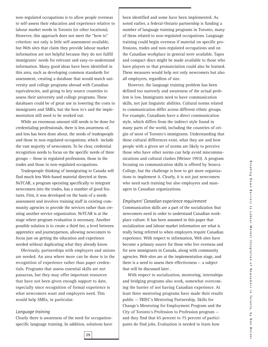non-regulated occupations is to allow people overseas to self-assess their education and experience relative to labour market needs in Toronto (or other locations). However, this approach does not meet the "how to" criterion: not only is little self-assessment available, but Web sites that claim they provide labour market information are not helpful because they do not fulfill immigrants' needs for relevant and easy-to-understand information. Many good ideas have been identified in this area, such as developing common standards for assessment, creating a database that would match university and college programs abroad with Canadian equivalencies, and going to key source countries to assess their university and college programs. These databases could be of great use in lowering the costs to immigrants and SMEs, but the how to's and the implementation still need to be worked out.

While an enormous amount still needs to be done for credentialing professionals, there is less awareness of, and less has been done about, the needs of tradespeople and those in non-regulated occupations, which include the vast majority of newcomers. To be clear, credential recognition needs to focus on the specific needs of three groups — those in regulated professions, those in the trades and those in non-regulated occupations.

Tradespeople thinking of immigrating to Canada will find much less Web-based material directed at them. NeTCAR, a program operating specifically to integrate newcomers into the trades, has a number of good features. First, it was developed on the basis of a needs assessment and involves training staff in existing community agencies to provide the services rather than creating another service organization. NeTCAR is at the stage where program evaluation is necessary. Another possible solution is to create a third tier, a level between apprentice and journeyperson, allowing newcomers to focus just on getting the education and experience needed without duplicating what they already know.

Obviously, partnerships with employers and unions are needed. An area where more can be done is in the recognition of experience rather than paper credentials. Programs that assess essential skills are not panaceas, but they may offer important resources that have not been given enough support to date, especially since recognition of formal experience is what newcomers want and employers need. This would help SMEs, in particular.

#### *Language training*

Clearly there is awareness of the need for occupationspecific language training. In addition, solutions have been identified and some have been implemented. As noted earlier, a federal-Ontario partnership is funding a number of language training programs in Toronto, many of them related to non-regulated occupations. Language training could begin overseas if material on specific professions, trades and non-regulated occupations and on the Canadian workplace in general were available. Tapes and compact discs might be made available to those who have players so that pronunciation could also be learned. These measures would help not only newcomers but also all employers, regardless of size.

However, the language training problem has been defined too narrowly and awareness of the actual problem is low. Immigrants need to have communication skills, not just linguistic abilities. Cultural norms related to communication differ across different ethnic groups. For example, Canadians have a direct communication style, which differs from the indirect style found in many parts of the world, including the countries of origin of most of Toronto's immigrants. Understanding that these cultural differences exist, what they are and how people with a given set of norms are likely to perceive those who have other norms can help avoid miscommunications and cultural clashes (Weiner 1993). A program focusing on communication skills is offered by Seneca College, but the challenge is how to get more organizations to implement it. Clearly, it is not just newcomers who need such training but also employees and managers in Canadian organizations.

#### *Employers' Canadian experience requirement*

Communication skills are a part of the socialization that newcomers need in order to understand Canadian workplace culture. It has been assumed in this paper that socialization and labour market information are what is really being referred to when employers require Canadian experience. With respect to information, Web sites have become a primary source for those who live overseas and for new immigrants in Canada, along with community agencies. Web sites are at the implementation stage, and there is a need to assess their effectiveness — a subject that will be discussed later .

With respect to socialization, mentoring, internships and bridging programs also work, somewhat overcoming the barrier of not having Canadian experience. At least three mentoring programs have made their results public — TRIEC's Mentoring Partnership, Skills for Change's Mentoring for Employment Program and the City of Toronto's Profession to Profession program and they find that 65 percent to 75 percent of participants do find jobs. Evaluation is needed to learn how

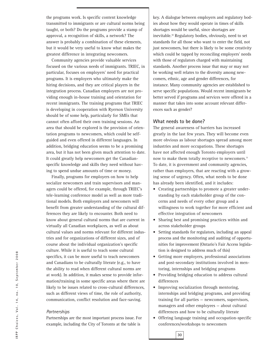the programs work. Is specific content knowledge transmitted to immigrants or are cultural norms being taught, or both? Do the programs provide a stamp of approval, a recognition of skills, a network? The answer is probably a combination of these elements, but it would be very useful to know what makes the greatest difference in integrating newcomers.

Community agencies provide valuable services focused on the various needs of immigrants. TRIEC, in particular, focuses on employers' need for practical programs. It is employers who ultimately make the hiring decisions, and they are critical players in the integration process. Canadian employers are not providing enough in-house training and orientation for recent immigrants. The training programs that TRIEC is developing in cooperation with Ryerson University should be of some help, particularly for SMEs that cannot often afford their own training sessions. An area that should be explored is the provision of orientation programs to newcomers, which could be selfguided and even offered in different languages. In addition, bridging education seems to be a promising area, but it has not been given much attention to date. It could greatly help newcomers get the Canadianspecific knowledge and skills they need without having to spend undue amounts of time or money.

Finally, programs for employers on how to help socialize newcomers and train supervisors and managers could be offered, for example, through TRIEC's tele-learning conference model as well as more traditional models. Both employers and newcomers will benefit from greater understanding of the cultural differences they are likely to encounter. Both need to know about general cultural norms that are current in virtually all Canadian workplaces, as well as about cultural values and norms relevant for different industries and for organizations of different sizes, and of course about the individual organization's specific culture. While it is useful to teach some cultural specifics, it can be more useful to teach newcomers and Canadians to be culturally literate (e.g., to have the ability to read when different cultural norms are at work). In addition, it makes sense to provide information/training in some specific areas where there are likely to be issues related to cross-cultural differences, such as different views of time, the role of authority, communication, conflict resolution and face-saving.

#### *Partnerships*

Partnerships are the most important process issue. For example, including the City of Toronto at the table is

key. A dialogue between employers and regulatory bodies about how they would operate in times of skills shortages would be useful, since shortages are inevitable.30 Regulatory bodies, obviously, need to set standards for all those who want to enter the field, not just newcomers, but there is likely to be some creativity which could be tapped by reconciling employers' needs with those of regulators charged with maintaining standards. Another process issue that may or may not be working well relates to the diversity among newcomers, ethnic, age and gender differences, for instance. Many community agencies are established to serve specific populations. Would recent immigrants be better served if programs and services were offered in a manner that takes into some account relevant differences such as gender?

#### **What needs to be done?**

The general awareness of barriers has increased greatly in the last few years. They will become even more obvious as labour shortages spread among more industries and more occupations. These shortages have not affected enough Toronto employers until now to make them totally receptive to newcomers.<sup>31</sup> To date, it is government and community agencies, rather than employers, that are reacting with a growing sense of urgency. Often, what needs to be done has already been identified, and it includes:

- Creating partnerships to promote a greater understanding by each stakeholder group of the concerns and needs of every other group and a willingness to work together for more efficient and effective integration of newcomers
- Sharing best and promising practices within and across stakeholder groups
- Setting standards for regulators, including an appeal process and the monitoring and auditing of opportunities for improvement (Ontario's Fair Access legislation is designed to address much of this)
- Getting more employers, professional associations and post-secondary institutions involved in mentoring, internships and bridging programs
- Providing bridging education to address cultural differences
- Improving socialization through mentoring, internships and bridging programs, and providing training for all parties — newcomers, supervisors, managers and other employees — about cultural differences and how to be culturally literate
- Offering language training and occupation-specific conferences/workshops to newcomers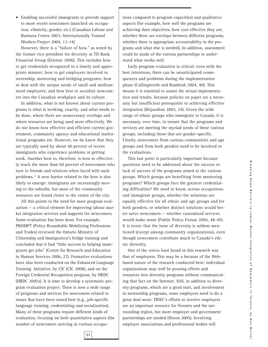• Enabling successful immigrants to provide support to more recent newcomers (matched on occupation, ethnicity, gender, etc.) (Canadian Labour and Business Centre 2003; Internationally Trained Workers Project 2004, 13-14)

However, there is a "failure of how," as noted by the former vice-president for diversity at TD Bank Financial Group (Etienne 2006). This includes how to get credentials recognized in a timely and appropriate manner; how to get employers involved in internship, mentoring and bridging programs; how to deal with the unique needs of small and mediumsized employers; and how best to socialize newcomers into the Canadian workplace and its culture.

In addition, what is not known about current programs is what is working, exactly, and what needs to be done, where there are unnecessary overlaps and where resources are being used most effectively. We do not know how effective and efficient current government, community agency and educational institutional programs are. However, we do know that they are typically used by about 40 percent of recent immigrants who experience problems in getting work. Another how to, therefore, is how to effectively reach the more than 60 percent of newcomers who turn to friends and relatives when faced with such problems.32 A new barrier related to the how is also likely to emerge: immigrants are increasingly moving to the suburbs, but most of the community resources are found closer to the centre of the city.

All this points to the need for more program evaluation — a critical element for improving labour market integration services and supports for newcomers. Some evaluation has been done. For example, PROMPT (Policy Roundtable Mobilizing Professions and Trades) reviewed the Ontario Ministry of Citizenship and Immigration's bridge training and concluded that it had "little success in helping immigrants get jobs" (Centre for Research and Education in Human Services 2006, 27). Formative evaluations have also been conducted on the Enhanced Language Training Initiative, by CIC (CIC 2008), and on the Foreign Credential Recognition program, by HRDC (HRDC 2007a). It is time to develop a systematic program evaluation project. There is now a wide range of programs and services for newcomers related to issues that have been raised here (e.g., job-specific language training, credentialing and socialization). Many of these programs require different kinds of evaluation, focusing on both quantitative aspects (the number of newcomers arriving in various occupations compared to program capacities) and qualitative aspects (for example, how well the programs are achieving their objectives, how cost-effective they are, whether there are overlaps between different programs, whether there is appropriate accountability in the programs and what else is needed). In addition, assessment could be made of the various partnerships to understand what works well.

Early program evaluation is critical: even with the best intentions, there can be unanticipated consequences and problems during the implementation phase (Cullingworth and Bambrah 2004, 40). This means it is essential to assess the actual implementation and results, because policies on paper are a necessary but insufficient prerequisite to achieving effective integration (Birjandian 2005, 24). Given the wide range of ethnic groups who immigrate to Canada, it is necessary, over time, to ensure that the programs and services are meeting the myriad needs of these various groups, including those that are gender-specific. Clearly, newcomers from various communities and age groups and from both genders need to be involved in the evaluations.

This last point is particularly important because questions need to be addressed about the success or lack of success of the programs aimed at the various groups. Which groups are benefiting from mentoring programs? Which groups face the greatest credentialing difficulties? We need to know, across occupations and immigrant groups, whether the solutions are equally effective for all ethnic and age groups and for both genders, or whether distinct solutions would better serve newcomers — whether customized services would make sense (Public Policy Forum 2006, 48-49). It is ironic that the issue of diversity is seldom mentioned (except among community organizations), even though newcomers contribute much to Canada's ethnic diversity.

One of the voices least heard in this research was that of employers. This may be a because of the Webbased nature of the research conducted here: individual organizations may well be pouring efforts and resources into diversity programs without communicating that fact on the Internet. Still, in addition to diversity programs, which are a good start, and involvement in mentorship programs, some employers need to do a great deal more. TRIEC's efforts to involve employers are an important resource for Toronto and the surrounding region, but more employer and government partnerships are needed (Nixon 2005). Involving employer associations and professional bodies will

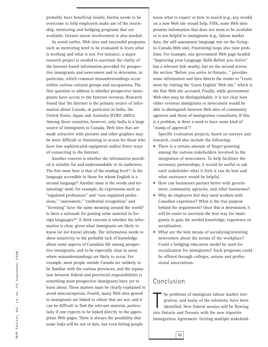probably have beneficial results. Inertia needs to be overcome to help employers make use of the internship, mentoring and bridging programs that are available. Greater union involvement is also needed.

As noted earlier, Web sites and successful programs such as mentoring need to be evaluated to learn what is working and what is not. For instance, a major research project is needed to ascertain the clarity of the Internet-based information provided for prospective immigrants and newcomers and to determine, in particular, which common misunderstandings occur within various cultural groups and occupations. The first question to address is whether prospective immigrants have access to the Internet overseas. Research found that the Internet is the primary source of information about Canada, in particular in India, the United States, Japan and Australia (FCRO 2007c). Among those countries, however, only India is a large source of immigrants to Canada. Web sites that are made attractive with pictures and other graphics may be more difficult or frustrating to access for those who have less sophisticated equipment and/or fewer ways of connecting to the Internet.

Another concern is whether the information provided is suitable for and understandable to its audiences. The first issue here is that of the reading level<sup>33</sup>: Is the language accessible to those for whom English is a second language? Another issue is the words and terminology used; for example, do expressions such as "regulated professions" and "non-regulated professions," "assessment," "credential recognition" and "licensing" have the same meaning around the world? Is there a rationale for posting some material in foreign languages?<sup>34</sup> A third concern is whether the information is clear, given what immigrants are likely to know (or not know) already. The information needs to show sensitivity to the probable lack of knowledge about some aspects of Canadian life among prospective immigrants, and to be especially clear in areas where misunderstandings are likely to occur. For example, most people outside Canada are unlikely to be familiar with the various provinces, and the separation between federal and provincial responsibilities is something most prospective immigrants have yet to learn about. These matters must be clearly explained to avoid misconceptions. Fourth, many Web sites geared to immigrants are linked to others that are not, and it can be difficult to find the relevant material, particularly if one expects to be linked directly to the appropriate Web pages. There is always the possibility that some links will be out of date, but even letting people

know what to expect or how to search (e.g., key words) on a new Web site would help. Fifth, some Web sites promise information that does not seem to be available or is not helpful to immigrants (e.g., labour market data, the self-assessment language test on the Goingto-Canada Web site). Frustrating loops also raise problems. For example, one government Web page headed "Improving your Language Skills Before you Arrive" has a relevant link nearby, but on the second screen, the section "Before you arrive in Ontario…" provides some information and then directs the reader to "Learn more by visiting the 'Learn English' Web site," which is the first Web site accessed. Finally, while government Web sites may be distinguishable, it is not clear how either overseas immigrants or newcomers would be able to distinguish between Web sites of community agencies and those of immigration consultants. If this is a problem, is there a need to have some kind of "stamp of approval"?

Specific evaluation projects, based on surveys and research, could also include the following:

- There is a certain amount of finger-pointing among the various stakeholders involved in the integration of newcomers. To help facilitate the necessary partnerships, it would be useful to ask each stakeholder what it feels it can do best and what assistance would be helpful.
- How can businesses partner better with government, community agencies, and other businesses?
- Why do employers feel they need workers with Canadian experience? What is the true purpose behind the requirement? Once this is determined, it will be easier to ascertain the best way for immigrants to gain the needed knowledge, experience or socialization.
- What are the best means of socializing/orienting newcomers about the norms of the workplace? Could a bridging education model be used for socialization for immigrants? Such programs could be offered through colleges, unions and professional associations.

# Conclusion

**32**

Interpretent sof immigrant labour market is<br>gration, and many of the solutions, have b<br>identified. New federal monies will be flow<br>into Ontario and Toronto with the new tripartite he problems of immigrant labour market integration, and many of the solutions, have been identified. New federal monies will be flowing Immigration Agreement. Getting multiple stakehold-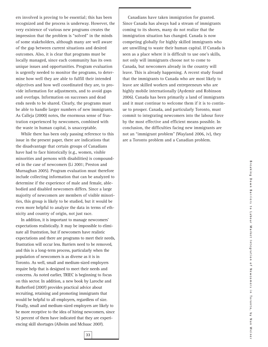ers involved is proving to be essential; this has been recognized and the process is underway. However, the very existence of various new programs creates the impression that the problem is "solved" in the minds of some stakeholders, although many are well aware of the gap between current situations and desired outcomes. Also, it is clear that programs must be locally managed, since each community has its own unique issues and opportunities. Program evaluation is urgently needed to monitor the programs, to determine how well they are able to fulfill their intended objectives and how well coordinated they are, to provide information for adjustments, and to avoid gaps and overlaps. Information on successes and dead ends needs to be shared. Clearly, the programs must be able to handle larger numbers of new immigrants. As Calleja (2000) notes, the enormous sense of frustration experienced by newcomers, combined with the waste in human capital, is unacceptable.

While there has been only passing reference to this issue in the present paper, there are indications that the disadvantage that certain groups of Canadians have had to face historically (e.g., women, visible minorities and persons with disabilities) is compounded in the case of newcomers (Li 2001; Preston and Murnaghan 2005). Program evaluation must therefore include collecting information that can be analyzed to determine if the experience of male and female, ablebodied and disabled newcomers differs. Since a large majority of newcomers are members of visible minorities, this group is likely to be studied, but it would be even more helpful to analyze the data in terms of ethnicity and country of origin, not just race.

In addition, it is important to manage newcomers' expectations realistically. It may be impossible to eliminate all frustration, but if newcomers have realistic expectations and there are programs to meet their needs, frustration will occur less. Barriers need to be removed, and this is a long-term process, particularly when the population of newcomers is as diverse as it is in Toronto. As well, small and medium-sized employers require help that is designed to meet their needs and concerns. As noted earlier, TRIEC is beginning to focus on this sector. In addition, a new book by Laroche and Rutherford (2007) provides practical advice about recruiting, retaining and promoting immigrants that would be helpful to all employers, regardless of size. Finally, small and medium-sized employers are likely to be more receptive to the idea of hiring newcomers, since 52 percent of them have indicated that they are experiencing skill shortages (Alboim and McIsaac 2007).

**33**

Canadians have taken immigration for granted. Since Canada has always had a stream of immigrants coming to its shores, many do not realize that the immigration situation has changed. Canada is now competing globally for highly skilled immigrants who are unwilling to waste their human capital. If Canada is seen as a place where it is difficult to use one's skills, not only will immigrants choose not to come to Canada, but newcomers already in the country will leave. This is already happening. A recent study found that the immigrants to Canada who are most likely to leave are skilled workers and entrepreneurs who are highly mobile internationally (Aydemir and Robinson 2006). Canada has been primarily a land of immigrants and it must continue to welcome them if it is to continue to prosper. Canada, and particularly Toronto, must commit to integrating newcomers into the labour force by the most effective and efficient means possible. In conclusion, the difficulties facing new immigrants are not an "immigrant problem" (Wayland 2006, iv), they are a Toronto problem and a Canadian problem.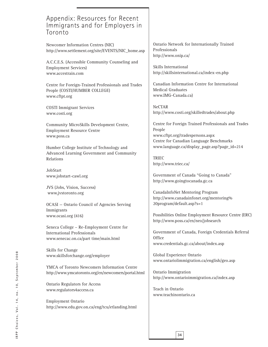# Appendix: Resources for Recent Immigrants and for Employers in Toronto

Newcomer Information Centres (NIC) http://www.settlement.org/site/EVENTS/NIC\_home.asp

A.C.C.E.S. (Accessible Community Counseling and Employment Services) www.accestrain.com

Centre for Foreign-Trained Professionals and Trades People (COSTI/HUMBER COLLEGE) www.cftpt.org

COSTI Immigrant Services www.costi.org

Community MicroSkills Development Centre, Employment Resource Centre www.poss.ca

Humber College Institute of Technology and Advanced Learning Government and Community Relations

JobStart www.jobstart-cawl.org

JVS (Jobs, Vision, Success) www.jvstoronto.org

OCASI — Ontario Council of Agencies Serving Immigrants www.ocasi.org (416)

Seneca College – Re-Employment Centre for International Professionals www.senecac.on.ca/part time/main.html

Skills for Change www.skillsforchange.org/employer

YMCA of Toronto Newcomers Information Centre http://www.ymcatoronto.org/en/newcomers/portal.html

Ontario Regulators for Access www.regulators4access.ca

Employment Ontario http://www.edu.gov.on.ca/eng/tcu/etlanding.html

Ontario Network for Internationally Trained Professionals http://www.onip.ca/

Skills International http://skillsinternational.ca/index-en.php

Canadian Information Centre for International Medical Graduates www.IMG-Canada.ca)

NeCTAR http://www.costi.org/skilledtrades/about.php

Centre for Foreign Trained Professionals and Trades People www.cftpt.org/tradespersons.aspx Centre for Canadian Language Benchmarks www.language.ca/display\_page.asp?page\_id=214

TRIEC http://www.triec.ca/

Government of Canada "Going to Canada" http://www.goingtocanada.gc.ca

CanadaInfoNet Mentoring Program http://www.canadainfonet.org/mentoring% 20program/default.asp?s=1

Possibilities Online Employment Resource Centre (ERC) http://www.poss.ca/en/neo/jobsearch

Government of Canada, Foreign Credentials Referral **Office** www.credentials.gc.ca/about/index.asp

Global Experience Ontario www.ontariolimmigration.ca/english/geo.asp

Ontario Immigration http://www.ontarioimmigration.ca/index.asp

Teach in Ontario www.teachinontario.ca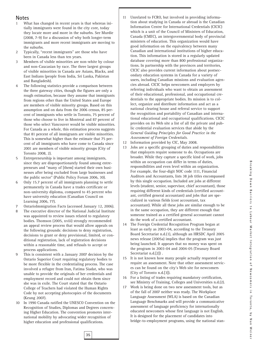#### **Notes**

- 1 What has changed in recent years is that whereas initially immigrants were found in the city core, today they locate more and more in the suburbs. See Murdie (2008, 7-9) for a discussion of why both longer-term immigrants and more recent immigrants are moving to the suburbs.
- 2 Typically, "recent immigrants" are those who have been in Canada less than ten years.
- 3 Members of visible minorities are non-white by colour and non-Caucasian by race. The three largest groups of visible minorities in Canada are Asians, Blacks, and East Indians (people from India, Sri Lanka, Pakistan and Bangladesh).
- 4 The following statistics provide a comparison between the three gateway cities, though the figures are only a rough estimation, because they assume that immigrants from regions other than the United States and Europe are members of visible minority groups. Based on this assumption and on data from the 2006 census, 85 percent of immigrants who settle in Toronto, 75 percent of those who choose to live in Montreal and 87 percent of those who select Vancouver would be visible minorities. For Canada as a whole, this estimation process suggests that 81 percent of all immigrants are visible minorities. This is somewhat higher than the estimate that 75 percent of all immigrants who have come to Canada since 2001 are members of visible minority groups (City of Toronto 2008, 2).
- 5 Entrepreneurship is important among immigrants, since they are disproportionately found among entrepreneurs and "many of [them] started their own businesses after being excluded from large businesses and the public sector" (Public Policy Forum 2006, 30).
- 6 Only 15.7 percent of all immigrants planning to settle permanently in Canada have a trades certificate or non-university diploma, compared to 45 percent who have university education (Canadian Council on Learning 2006, 77).
- 7 OntarioImmigration Facts (accessed January 12, 2006).
- 8 The executive director of the National Judicial Institute was appointed to review issues related to regulatory bodies. Thomson (2005, xviii) strongly recommended an appeal review process that would allow appeals on the following grounds: decisions to deny registration, decisions to grant or deny provisional, limited, or conditional registration, lack of registration decisions within a reasonable time, and refusals to accept or process applications.
- 9 This is consistent with a January 2007 decision by the Ontario Superior Court requiring regulatory bodies to be more flexible in the credentialing process. The case involved a refugee from Iran, Fatima Siadat, who was unable to provide the originals of her credentials and employment record and could not obtain them since she was in exile. The Court stated that the Ontario College of Teachers had violated the Human Rights Code by not accepting photocopies of the documents (Keung 2007).
- 10 In 1990 Canada ratified the UNESCO Convention on the Recognition of Studies, Diplomas and Degrees concerning Higher Education. The convention promotes international mobility by advocating wider recognition of higher education and professional qualifications.
- 11 Unrelated to FCRO, but involved in providing information about studying in Canada or abroad is the Canadian Information Centre for International Credentials (CICIC) which is a unit of the Council of Ministers of Education, Canada (CMEC), an intergovernmental body of provincial ministers of education. This organization would have good information on the equivalency between many Canadian and international institutions of higher education. This information is stored in a regularly updated database covering more than 800 professional organizations. In partnership with the provinces and territories, CICIC also provides current information about postsecondary education systems in Canada for a variety of users, including Canadian missions and evaluation agencies abroad. CICIC helps newcomers and employers by referring individuals who want to obtain an assessment of their educational, professional, and occupational credentials to the appropriate bodies. Its mission is to collect, organize and distribute information and act as a national clearing house and referral service to support the recognition and portability of Canadian and international educational and occupational qualifications. CICIC provides on its Web site a list of all the private and public credential evaluation services that abide by the *General Guiding Principles for Good Practice in the Assessment of Foreign Credentials*.
- 12 Information provided by CIC, May 2008.
- 13 Jobs are a specific grouping of duties and responsibilities that employers require someone to do. Occupations are broader. While they capture a specific kind of work, jobs within an occupation can differ in terms of duties, responsibilities and even level within an organization. For example, the four-digit NOC code 1111, Financial Auditors and Accountants, lists 38 job titles encompassed by this single occupation. Included are jobs at different levels (student, senior, supervisor, chief accountant), those requiring different kinds of credentials (certified accountant, certified general accountant) and jobs that are specialized in various fields (cost accountant, tax accountant). While all these jobs are similar enough to be in the same occupation, they are different enough that someone trained as a certified general accountant cannot do the work of a certified accountant.
- 14 The Foreign Credential Recognition Program began at least as early as 2003-04, according to the Treasury Board Secretariat n.d.(1), although an HRSDC April 2005 news release (2005a) implies that the program was just being launched. It appears that no money was spent on the program in 2003-04 and 2004-05 (Treasury Board Secretariat n.d.[2]) .
- 15 It is not known how many people actually requested or require an assessment. Note that other assessment services can be found on the city's Web site for newcomers (City of Toronto n.d.[3]).
- 16 For a listing of trades requiring mandatory certification, see Ministry of Training, Colleges and Universities n.d.(2).
- 17 Work is being done on two new assessment tools, but as of the fall of 2007 neither was ready. The Workplace Language Assessment (WLA) is based on the Canadian Language Benchmarks and will provide a communicative assessment of language proficiency for internationally educated newcomers whose first language is not English. It is designed for the placement of candidates into bridge-to-employment programs, using the national stan-

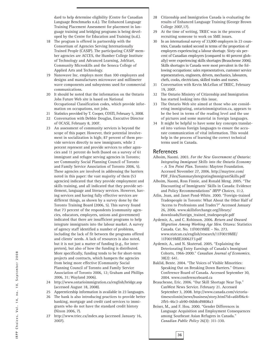dard to help determine eligibility (Centre for Canadian Language Benchmarks n.d.). The Enhanced Language Training Placement Assessment for placement in language training and bridging programs is being developed by the Centre for Education and Training (n.d.).

- 18 The program is offered in partnership with the Consortium of Agencies Serving Internationally Trained People (CASIP). The participating CASIP member agencies are ACCES, the Humber College Institute of Technology and Advanced Learning, JobStart, Community Microskills and the Seneca College of Applied Arts and Technology.
- 19 Nanowave Inc. employs more than 100 employees and designs and manufactures microwave and millimeter wave components and subsystems used for commercial communications.
- 20 It should be noted that the information on the Ontario Jobs Future Web site is based on National Occupational Classification codes, which provide information on occupations, not jobs.
- 21 Statistics provided by T. Cooper, COSTI, February 5, 2008.
- 22 Conversation with Debbie Douglas, Executive Director of OCASI, February 8, 2007.
- 23 An assessment of community services is beyond the scope of this paper. However, their potential involvement in socialization is high; 87 percent of them provide services directly to new immigrants, while 2 percent represent and provide services to other agencies and 11 percent do both (based on a survey of 61 immigrant and refugee serving agencies in Toronto; see Community Social Planning Council of Toronto and Family Service Association of Toronto 2006, 5). These agencies are involved in addressing the barriers noted in this paper: the vast majority of them (53 agencies) indicated that they provide employment and skills training, and all indicated that they provide settlement, language and literacy services. However, having services and having fully effective services are different things, as shown by a survey done by the Toronto Training Board (2006, 5). This survey found that 73 percent of the respondents (community agencies, educators, employers, unions and government) indicated that there are insufficient programs to help integrate immigrants into the labour market. A survey of agency staff identified a number of problems, including the lack of fit between the programs offered and clients' needs. A lack of resources is also noted, but it is not just a matter of funding (e.g., for interpreters), but also of how the funding is distributed. More specifically, funding tends to be for short-term projects and contracts, which hampers the agencies from being more effective (Community Social Planning Council of Toronto and Family Service Association of Toronto 2006, 12; Graham and Phillips 2006, 31; Wayland 2006).
- 24 http://www.ontarioimmigration.ca/english/bridge.asp (accessed August 18, 2008).
- 25 Apprenticeship information is available in 23 languages.
- 26 The bank is also introducing practices to provide better banking, mortgage and credit card services to immigrants who do not have the standard credit history (Nixon 2006, 7).
- 27 http://www.triec.ca/index.asp (accessed January 16, 2007).
- 28 Citizenship and Immigration Canada is evaluating the results of Enhanced Language Training (George Brown College 2007,17).
- 29 At the time of writing, TRIEC was in the process of recruiting someone to work on SME issues.
- 30 In an international survey of 33,000 employers in 23 countries, Canada ranked second in terms of the proportion of employers experiencing a labour shortage. Sixty-six percent of Canadian employers (compared to 40 percent globally) were experiencing skills shortages (Beauchesne 2006). Skills shortages in Canada were most prevalent in the following occupations: sales representatives, customer service representatives, engineers, drivers, mechanics, labourers, chefs, cooks, electricians, skilled trades and nurses.
- 31 Conversation with Kevin McLellan of TRIEC, February 19, 2007.
- 32 The Ontario Ministry of Citizenship and Immigration has started looking into this issue.
- 33 The Ontario Web site aimed at those who are considering immigrating, ontarioimmigration.ca, appears to be the best in terms of the reading level and the use of pictures and some material in foreign languages.
- 34 It might be helpful to have some key concepts translated into various foreign languages to ensure the accurate communication of vital information. This would help in the process of learning the correct technical terms used in Canada.

#### **References**

- Alboim, Naomi. 2003. *For the New Government of Ontario: Integrating Immigrant Skills into the Ontario Economy – A Ten Point Plan*. Toronto: Maytree Foundation. Accessed November 27, 2006. http://maytree.com/ PDF\_Files/SummaryIntegratingImmigrantSkills.pdf
- Alboim, Naomi, Ross Finnie, and Ronald Meng. 2005. "The Discounting of Immigrants' Skills in Canada: Evidence and Policy Recommendations" *IRPP Choices*, 11:2.
- Atlin, Joan, and Janet Pond-White. 2000. "Foreign-trained Tradespeople in Toronto: What About the Other Half of 'Access to Professions and Trades'?" Accessed January 26, 2006. www.skillsforchange.org/library/ downloads/foreign\_trained\_tradespeople.pdf
- Aydemir, A., and C. Robinson. 2006. *Return and Onward Migration Among Working Age Men*. Ottawa: Statistics Canada. Cat. No. 11F0019MIE – No. 273. www.statcan.ca/english/research/11F0019MIE/ 11F0019MIE2006273.pdf
- Aydemir, A., and N. Skuterud. 2005. "Explaining the Deteriorating Entry Earnings of Canada's Immigrant Cohorts, 1966-2000." *Canadian Journal of Economics*. 38(2): 641.
- Baklid, Bente. 2004. "The Voices of Visible Minorities: Speaking Out on Breaking Down Barriers." Ottawa: Conference Board of Canada. Accessed September 30, 2004. www.conferenceboard.ca
- Beauchesne, Eric. 2006. "Our Skill Shortage Near Top." CanWest News Service. February 21. Accessed September 3, 2008. http://www.canada.com/victoriatimescolonist/news/business/story.html?id=a6bf06c4- 2fb5-46c3-ab90-06b8cd9808a3
- Beiser, M., and F. Hou. 2000. "Gender Differences in Language Acquisition and Employment Consequences among Southeast Asian Refugees in Canada." *Canadian Public Policy* 26(3): 311-330.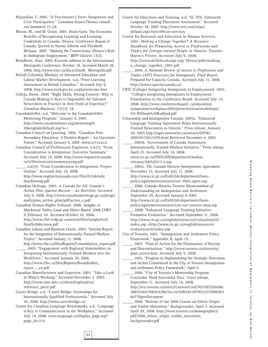Birjandian, F. 2005. "A Practitioner's View: Integration and Civic Participation." *Canadian Issues/Thèmes canadiens* (summer) 22-24.

Bloom, M., and M. Grant. 2001. Brain Gain: The Economic Benefits of Recognizing Learning and Learning Credentials in Canada. Ottawa: Conference Board of Canada. Quoted in Naomi Alboim and Elizabeth McIsaac. 2007. "Making the Connections: Ottawa's Role in Immigrant Employment." *IRPP Choices* 13(3).

Broadbent, Alan. 2005. Keynote address to the International Metropolis Conference, October 18. Accessed March 28, 2006. http://www.triec.ca/docs/AlanB\_ Metropolis.pdf

British Columbia Ministry of Advanced Education and Labour Market Development. n.d. "Prior Learning Assessment in British Columbia." Accessed July 9, 2008. http://www.aved.gov.bc.ca/pla/welcome.htm

Calleja, Dawn. 2000. "Right Skills, Wrong Country: Why is Canada Making it Next to Impossible for Talented Newcomers to Practice in their Field of Expertise?" *Canadian Business*. 73(12): 34.

CanadaInfoNet. n.d. "Welcome to the CanadaInfoNet Mentoring Program." January 4, 2007. http://www.canadainfonet.org/mentoring% 20program/default.asp?s=1

Canadian Council on Learning. 2006. "Canadian Post-Secondary Education: A Positive Report – An Uncertain Future." Accessed January 5, 2007. www.ccl-cca.ca

Canadian Council of Professional Engineers. n.d.(1). "From Consideration to Integration: Executive Summary." Accessed July 14, 2008. http://www.engineerscanada. ca/e/files/executivesummaryeng.pdf

\_\_\_\_\_. n.d.(2). "From Consideration to Integration: Project Outline." Accessed July 14, 2008. http://www.engineerscanada.ca/e/files/fc2idetaile doutlineeng.pdf

Canadian Heritage. 2005. *A Canada for All: Canada's Action Plan Against Racism – An Overview*. Accessed July 9, 2008. http://www.canadianheritage.gc.ca/progs/ multi/plan\_action\_plan/pdf/action\_e.pdf

Canadian Human Rights Tribunal. 2006. *Sangha vs. Mackenzie Valley Land and Water Board*. 2006 CHRT 9, February 24. Accessed October 30, 2006. http://www.chrt-tcdp.gc.ca/search/files/sangha%20 final%20decision.pdf

Canadian Labour and Business Centre. 2003. "Interim Report for the Integration of Internationally-Trained Workers Project." Accessed January 11, 2008.

http://www.clbc.ca/files/Reports/Consolidation\_report.pdf \_\_\_\_\_. 2005. "Engagement with Regional Stakeholders on Integrating Internationally-Trained Workers into the Workforce." Accessed January 29, 2006. http://www.clbc.ca/files/Reports/Roundtables\_ report\_-\_en.pdf

Canadian Manufacturers and Exporters. 2003. "Take a Look at What's Working." Accessed November 3, 2005. http://www.cme-mec.ca/shared/upload/on/ reference\_piece.pdf

Career Bridge. n.d. "Career Bridge: Internships for Internationally Qualified Professionals." Accessed July 10, 2008. http://www.careerbridge.ca/

Centre for Canadian Language Benchmarks. n.d. "Language is Key to Communication in the Workplace." Accessed July 14, 2008. www.language.ca/display\_page.asp? page\_id=214

**37**

Centre for Education and Training. n.d. "EL TPA: Enhanced Language Training Placement Assessment." Accessed October 18, 2007. http://www.tcet.com/eltpa/ default.aspx?sel=r8&cat=services

Centre for Research and Education in Human Services. 2001. *Making a Change Together? A Resource Handbook for Promoting Access to Professions and Trades for Foreign-trained People in Ontario*. Toronto: Queen's Printer. Accessed July 9, 2008. http://www.skillsforchange.org/ library/pdfs/making\_ a\_change\_together\_2001.pdf

\_\_\_\_\_. 2006. *A National Review of Access to Professions and Trades (APT) Processes for Immigrants: Final Report*. Prepared for Capacity Canada. Accessed July 11, 2008. http://www.capacitycanada.ca/

CIITE (Colleges Integrating Immigrants to Employment). 2005. "Colleges Integrating Immigrants to Employment." Presentation to the Conference Board. Accessed July 14, 2008. http://www.conferenceboard. ca/education/ symposium/workplace2005/presentations/workshops/ A5-William%20Radford.pdf

Citizenship and Immigration Canada. 2005a. "Enhanced Language Training Agreement Helps Internationally Trained Newcomers in Ontario." Press release, January 20, 2005 http://ogov.newswire.ca/ontario/GPOE/ 2005/01/20/c5109.html Retrieved December 6, 2005.

\_\_\_\_\_. 2005b. "Government of Canada Announces Internationally Trained Workers Initiative." Press release, April 25. Accessed July 14, 2008. www.cic.gc.ca/ENGLISH/department/media/

releases/2005/0513-e.asp \_\_\_\_\_. 2005c. *The Canada-Ontario Immigration Agreement*. November 15. Accessed July 11, 2008.

http://www.cic.gc.ca/EnGLIsh/department/lawspolicy/agreements/ontario/ont-2005-agree.asp

\_\_\_\_\_. 2006. *Canada-Ontario-Toronto Memorandum of Understanding on Immigration and Settlement*. September 29. Accessed January 8 2007. http://www.cic.gc.ca/EnGLIsh/department/lawspolicy/agreements/ontario/can-ont-toronto-mou.asp

\_\_\_\_\_. 2008. "Enhanced Language Training Initiative: Formative Evaluation." Accessed September 11, 2008. http://www.cic.gc.ca/english/resources/evaluation/elt/ index.asp <http://www.cic.gc.ca/english/resources/ evaluation/elt/index.asp

City of Toronto. 2001. "Immigration and Settlement Policy Framework." Appendix B, April 19.

\_\_\_\_\_. 2003. "Plan of Action for the Elimination of Racism and Discrimination." http://www.toronto.ca/diversity/ plan\_action.htm. Accessed July 9, 2008.

\_\_\_\_\_. 2005. "Progress in Implementing the Strategic Directions and Action Constrained in the City of Toronto Immigration and settlement Policy Framework." April 6.

\_\_\_\_\_. 2006. "City of Toronto's Mentorship Program Concludes Third Successful Year." Press release, September 21. Accessed July 14, 2008.

http://wx.toronto.ca/inter/it/newsrel.nsf/7017df2f20edbe 2885256619004e428e/5ec2a350b54e18f7852571f0004b5 de7?OpenDocument

\_\_\_\_\_. 2008. "Release of the 2006 Census on Ethnic Origin and Visible Minorities." Backgrounder, April 2. Accessed April 29, 2008. http://www.toronto.ca/demographics/ pdf/2006\_ethnic\_origin\_visible\_minorities\_ backgrounder.pdf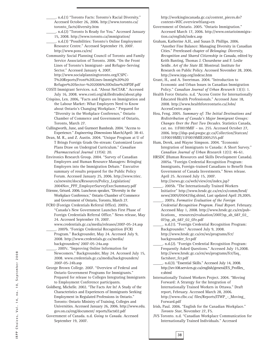\_\_\_\_\_. n.d.(1) "Toronto Facts: Toronto's Racial Diversity." Accessed October 26, 2006. http://www.toronto.ca/ toronto\_facts/diversity.htm

\_\_\_\_\_. n.d.(2) "Toronto Is Ready for You." Accessed January 15, 2008. http://www.toronto.ca/immigration/

\_\_\_\_\_. n.d.(3) "Possibilities: Toronto's Online Employment Resource Centre." Accessed September 19, 2007. http://www.poss.ca/en/

Community Social Planning Council of Toronto and Family Service Association of Toronto. 2006. "On the Front Lines of Toronto's Immigrant- and Refugee-Serving Sector." Accessed January 4, 2007. http://www.socialplanningtoronto.org/CSPC-T%20Reports/Front%20Lines-Immig%20%20 Refugee%20Sector-%202006%20Online%20PDF.pdf

- COSTI Immigrant Services. n.d. "About NeCTAR." Accessed July 16, 2008. www.costi.org/skilledtrades/about.php
- Crispino, Len. 2006, "Facts and Figures on Immigration and the Labour Market: What Employers Need to Know about Ontario's Changing Workplace." Prepared for "Diversity in the Workplace Conference," Ontario Chamber of Commerce and Government of Ontario, Toronto, March 27.

Cullingworth, June, and Gurmeet Bambrah. 2004. "Access to Experience." *Engineering Dimensions* March/April: 38-41.

Dean, M. R., and Z. Austin. 2004. "Unique Program at U of T Brings Foreign Grads On-stream: Customized Learn Plans Draw on Undergrad Curriculum." *Canadian Pharmaceutical Journal* 137(4): 20.

Environics Research Group. 2004. "Survey of Canadian Employers and Human Resource Managers: Bringing Employers into the Immigration Debate." Executive summary of results prepared for the Public Policy Forum. Accessed January 25, 2006. http://www.triec. ca/newsite/docs/Resources/Policy\_Legislation/ 2004Nov\_PPF\_EmployerSurveyExecSummary.pdf

Etienne, Gérard. 2006. Luncheon speaker, "Diversity in the Workplace Conference," Ontario Chamber of Commerce and Government of Ontario, Toronto, March 27.

FCRO (Foreign Credentials Referral Office). 2007a. "Canada's New Government Launches First Phase of Foreign Credentials Referral Office." News release, May 24. Accessed September 19, 2007.

www.credentials.gc.ca/media/releases/2007-05-24.asp \_\_\_\_\_. 2007b. "Foreign Credential Recognition (FCR) Program." Backgrounder, May 24. Accessed July 9, 2008. http://www.credentials.gc.ca/media/ backgrounders/ 2007-05-24a.asp

- \_\_\_\_\_. 2007c. "Improving Online Information for Newcomers." Backgrounder, May 24. Accessed July 15, 2008. www.credentials.gc.ca/media/backgrounders/ 2007-05-24b.asp
- George Brown College. 2007. "Overview of Federal and Ontario Government Programs for Immigrants." Prepared for release to Colleges Integrating Immigrants to Employment Conference participants.
- Goldberg, Michelle. 2002. "The Facts Are In! A Study of the Characteristics and Experiences of Immigrants Seeking Employment in Regulated Professions in Ontario." Toronto: Ontario Ministry of Training, Colleges and Universities. Accessed January 26, 2006. http://www.edu. gov.on.ca/eng/document/ reports/facts02.pdf

Government of Canada. n.d. *Going to Canada*. Accessed September 19, 2007.

http://workingincanada.gc.ca/content\_pieces.do? content=WIC.overview&lang=en

Government of Ontario. 2005. "Ontario Immigration." Accessed March 17, 2006. http://www.ontarioimmigration.ca/english/index.asp

Graham, Katherine A.H., and Susan D. Phillips. 2006. "Another Fine Balance: Managing Diversity in Canadian Cities." Prereleased chapter of *Belonging: Diversity, Recognition and Shared Citizenship in Canada*, edited by Keith Banting, Thomas J. Chourshene and F. Leslie Seidle. *Art of the State III*. Montreal: Institute for Research on Public Policy. Accessed November 28, 2006. http://www.irpp.org/indexe.htm

Grant, H., and A. Sweetman. 2004. "Introduction to Economic and Urban Issues in Canadian Immigration Policy." *Canadian Journal of Urban Research* 13(1): 1.

- Health Force Ontario. n.d. "Access Centre for Internationally Educated Health Professionals." Accessed June 18, 2008. http://www.healthforceontario.ca/Jobs/ AccessCentre.aspx
- Hou, Feng. 2005*. Summary of: The Initial Destinations and Redistribution of Canada's Major Immigrant Groups: Changes Over the Past Two Decades*. Statistics Canada, cat. no. 11F0019MIF – no. 255. Accessed October 27, 2006. http://dsp-psd.pwgsc.gc.ca/Collection/Statcan/ 11F0019MIE/11F0019MIE2005255.pdf

Hum, Derek, and Wayne Simpson. 2004. "Economic Integration of Immigrants to Canada: A Short Survey." *Canadian Journal of Urban Research* 12(1): 46-61.

HRSDC (Human Resources and Skills Development Canada). 2005a. "Foreign Credential Recognition Program: Immigrants, Foreign-trained Canadians to Benefit from Government of Canada Investments." News release. April 25. Accessed July 15, 2007.

http://news.gc.ca/web/view/en/index.jsp? \_\_\_\_\_. 2005b. "The Internationally Trained Workers Initiative" http://www.hrsdc.gc.ca/en/cs/comm/hrsd/ news/2005/050425bg.shtml, Last updated April 29,2005.

\_\_\_\_\_. 2007a. *Formative Evaluation of the Foreign Credential Recognition Program. Final Report*. February. Accessed May 1, 2008. http://www.hrsdc.gc.ca/en/publications\_ resources/evaluation/2007/sp\_ah\_687\_02\_ 07/sp\_ah\_687\_02\_07e.pdf

\_\_\_\_\_. n.d.(1). "Foreign Credential Recognition Program: Backgrounder." Accessed July 9, 2008. http://www.hrsdc.gc.ca/en/ws/programs/fcr/ backgrounder\_fcr.pdf

- \_\_\_\_\_. n.d.(2). "Foreign Credential Recognition Program: Frequently Asked Questions." Accessed July 15,2008. http://www.hrsdc.gc.ca/en/ws/programs/fcr/faq\_ factsheet\_fcr.pdf
- \_\_\_\_\_. n.d.(3). "Essential Skills." Accessed July 14, 2008. http://srv108.services.gc.ca/english/general/ES\_Profiles\_ e.shtml

Internationally Trained Workers Project. 2004. "Moving Forward: A Strategy for the Integration of Internationally Trained Workers in Ottawa." Draft report, February. Accessed March 28, 2006. http://www.clbc.ca/ files/Reports/ITWP\_-\_Moving\_ Forward.pdf

Irish, Paul. 2006. "English for the Canadian Workplace." *Toronto Star*, November 27, F5.

JVS Toronto. n.d. "Canadian Workplace Communication for Internationally Trained Individuals." Accessed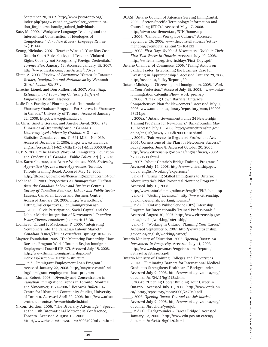September 20, 2007. http://www.jvstoronto.org/ index.php?page= canadian\_workplace\_communication\_for\_internationally\_trained\_individuals

- Katz, M. 2000. "Workplace Language Teaching and the Intercultural Construction of Ideologies of Competence." *Canadian Modern Language Review* 57(1): 144.
- Keung, Nicholas. 2007. "Teacher Wins 13-Year Bias Case: Ontario Court Rules College of Teachers Violated Rights Code by not Recognizing Foreign Credentials." *Toronto Star*, January 13. Accessed January 15, 2007. http://www.thestar.com/printArticle/170787
- Klimt, A. 2003. "Review of *Portuguese Women in Toronto: Gender, Immigration and Nationalism* by Wenonah Giles." *Labour* 52: 271.
- Laroche, Lionel, and Don Rutherford. 2007. *Recruiting, Retaining, and Promoting Culturally Different Employees*. Boston: Elsevier.
- Leslie Dan Faculty of Pharmacy. n.d. "International Pharmacy Graduate Program: For Success in Pharmacy in Canada." University of Toronto. Accessed January 22, 2008. http://www.ipgcanada.ca/
- Li, Chris, Ginette Gervais, and Aurélie Duval. 2006. *The Dynamics of Overqualification: Canada's Underemployed University Graduates*. Ottawa: Statistics Canada, cat. no. 11-621-MIE – No. 039. Accessed December 2, 2006. http://www.statcan.ca/ english/research/11-621-MIE/11-621-MIE2006039.pdf
- Li, P. S. 2001. "The Market Worth of Immigrants' Education and Credentials." *Canadian Public Policy*. 27(1): 23-38.
- Lior, Karen Charnow, and Arlene Wortsman. 2006. *Reviewing Apprenticeship: Innovative Approaches*. Toronto: Toronto Training Board. Accessed May 13, 2008. http://ttb.on.ca/downloads/RenewingApprenticeship4.pdf
- Lochhead, C. 2003. *Perspectives on Immigration: Findings from the Canadian Labour and Business Centre's Survey of Canadian Business, Labour and Public Sector Leaders*. Canadian Labour and Business Centre. Accessed January 29, 2006. http://www.clbc.ca/ Fitting\_In/Perspectives\_ on\_Immigration.asp
- \_\_\_\_\_. 2005. "Civic Participation, Social Capital and the Labour Market Integration of Newcomers." *Canadian Issues/Thèmes canadiens* (summer): 35-38.
- Lochhead, C., and P. Mackenzie, P. 2005. "Integrating Newcomers into The Canadian Labour Market." *Canadian Issues/Thèmes canadiens* (spring): 103-106.
- Maytree Foundation. 2005. "The Mentoring Partnership: How Does the Program Work." Toronto Region Immigrant Employment Council (TRIEC). Accessed July 15, 2008. http://www.thementoringpartnership.com/ index.asp?section=1&article=structure
	- \_\_\_\_\_. n.d. "Immigrant Employment Loan Program." Accessed January 22, 2008. http://maytree.com/funding/immigrant-employment-loan-program
- Murdie, Robert. 2008. "Diversity and Concentration in Canadian Immigration: Trends in Toronto, Montreal and Vancouver, 1971-2006." *Research Bulletin* 42. Centre for Urban and Community Studies, University of Toronto. Accessed April 29, 2008. http://www.urbancentre. utoronto.ca/researchbulletin.html
- Nixon, Gordon. 2005. "The Diversity Advantage." Speech at the 10th International Metropolis Conference, Toronto. Accessed August 18, 2006. http://www.rbc.com/newsroom/20051020nixon.html

- OCASI (Ontario Council of Agencies Serving Immigrants). 2005. "Sector-Specific Terminology Information and Counselling (STIC)." Accessed May 17, 2008. http://atwork.settlement.org/STIC/home.asp \_\_\_\_\_. 2006. "Canadian Workplace Culture." Accessed
	- September 26, 2006. www.theconstellation.ca/settlement.org/eventdetails.shtml?x=104133
	- \_\_\_\_\_. 2008. *First Days Guide: A Newcomers' Guide to Their First Two Weeks in Ontario*. Accessed July 10, 2008. http://settlement.org/site/firstdays/First\_Days.pdf
- Ontario Chamber of Commerce. 2005. "Taking Action on Skilled Trades: Establishing the Business Case for Investing in Apprenticeship." Accessed January 29, 2006. http://occ.on.ca/Policy/Reports/39
- Ontario Ministry of Citizenship and Immigration. 2005. "Work in Your Profession." Accessed July 15, 2008. www.ontarioimmigration.ca/english/how\_work\_prof.asp
	- \_\_\_\_\_. 2006. "Breaking Down Barriers: Ontario's Comprehensive Plan for Newcomers." Accessed July 9, 2008. www.ontla.on.ca/library/repository/mon/16000/ 27134.pdf.
	- \_\_\_\_\_. 2006a. "Ontario Government Funds 24 New Bridge Training Programs for Newcomers." Backgrounder, May 18. Accessed July 15, 2008. http://www.citizenship.gov. on.ca/english/news/ 2006/b20060518.shtml
	- \_\_\_\_\_. 2006b. "Fair Access to Regulated Professions Act, 2006: Cornerstone of the Plan for Newcomer Success." Backgrounder, June 8. Accessed October 20, 2006. http://www.citizenship.gov.on.ca/english/news/2006/ b20060608.shtml
	- \_\_\_\_\_. 2007. "About Ontario's Bridge Training Programs." Accessed July 14, 2008. http://www.citizenship.gov. on.ca/ english/working/experience/
	- \_\_\_\_\_. n.d.(1). "Bringing Skilled Immigrants to Ontario: About Ontario's Pilot Provincial Nominee Program." Accessed July 11, 2008.
	- http://www.ontarioimmigration.ca/english/PNPabout.asp \_\_\_\_\_. n.d.(2). "Getting Licensed." http://www.citizenship. gov.on.ca/english/working/licensed/
	- \_\_\_\_\_. n.d.(3). "Ontario Public Service (OPS) Internship Program for Internationally Trained Professionals." Accessed August 30, 2007. http://www.citizenship.gov. on.ca/english/working/internship/
	- n.d.(4). "Working in Ontario: Planning Your Career." Accessed September 6, 2007. http://www.citizenship. gov.on.ca/english/working/career/
- Ontario Ministry of Education. 2005. *Opening Doors: An Investment in Prosperity*. Accessed July 11, 2008. http://www.edu.gov.on.ca/eng/document/reports/ getresults/getresults.pdf
- Ontario Ministry of Training, Colleges and Universities. 2004a. "Eliminating Barriers for International Medical Graduates Strengthens Healthcare." Backgrounder. Accessed July 9, 2008. http://www.edu.gov.on.ca/eng/ document/nr/04.11/bg1112a.html
	- \_\_\_\_\_. 2004b. "Opening Doors: Building Your Career in Ontario." Accessed July 11, 2008. http://www.ontla.on. ca/library/repository/mon/9000/247049.pdf
	- \_\_\_\_\_. 2006. *Opening Doors: You and the Job Market*. Accessed July 9, 2008. http://www.edu.gov.on.ca/eng/ document/brochure/youjob/
	- \_\_\_\_\_. n.d.(1). "Backgrounder Career Bridge." Accessed January 12, 2006. http://www.edu.gov.on.ca/eng/ document/nr/04.01/bg0120.html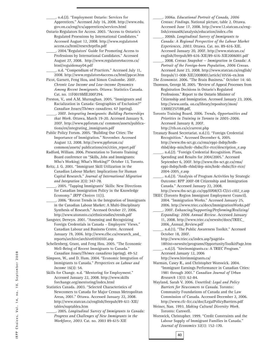\_\_\_\_\_. n.d.(2). "Employment Ontario: Services for Apprentices." Accessed July 16, 2008. http://www.edu. gov.on.ca/eng/tcu/apprentices/services.html

- Ontario Regulators for Access. 2003. "Access to Ontario's Regulated Proessions by International Candidates." Accessed August 12, 2008. http://www.regulators4 access.ca/html/reserchrptfin.pdf
- \_\_\_\_\_. 2004."Regulators' Guide for Promoting Access to Professions by International Candidates." Accessed August 27, 2008. http://www.regulators4access.ca/ html/reguidemay04.pdf

\_\_\_\_\_. n.d. "Compendium of Practices." Accessed July 11, 2008. http://www.regulators4access.ca/html/ppcat.htm

- Picot, Garnett, Feng Hou, and Simon Coulombe. 2007. *Chronic Low Income and Low-income Dynamics Among Recent Immigrants*. Ottawa: Statistics Canada. Cat. no. 11F0019MIE2007294.
- Preston, V., and A.M. Murnaghan. 2005. "Immigrants and Racialization in Canada: Geographies of Exclusion?" *Canadian Issues/Thèmes canadiens*. 67 (spring). \_\_\_\_\_. 2007. *Integrating Immigrants: Building Partnerships that Work.* Ottawa, March 19-20. Accessed January 9, 2007. http://www.ppforum.ca/ common/assets/publications/en/integrating\_immigrants.pdf
- Public Policy Forum. 2005. "Building Our Cities: The Importance of Immigration." November. Accessed August 12, 2008. http://www.ppforum.ca/ common/assets/ publications/en/cities\_report.pdf
- Radford, William. 2006. Presentation to Toronto Training Board conference on "Skills, Jobs and Immigrants: Who's Working; What's Working?" October 13, Toronto.
- Reitz, J. G. 2001. "Immigrant Skill Utilization in the Canadian Labour Market: Implications for Human Capital Research." *Journal of International Migration and Integration* 2(3): 347-78.
	- \_\_\_\_\_. 2005. "Tapping Immigrants' Skills: New Directions for Canadian Immigration Policy in the Knowledge Economy." *IRPP Choices* 11(1).
	- \_\_\_\_\_. 2006. "Recent Trends in the Integration of Immigrants in the Canadian Labour Market: A Multi-Disciplinary Synthesis of Research." Accessed October 27, 2006. http://www.utoronto.ca/ethnicstudies/trends.pdf
- Sangster, Derwyn. 2001. "Assessing and Recognizing Foreign Credentials in Canada – Employers' Views." Canadian Labour and Business Centre. Accessed January 19, 2006. http://www.clbc.ca/research\_and\_ reports/archive/archive01010101.asp
- Schellenberg, Grant, and Feng Hou. 2005. "The Economic Well-Being of Recent Immigrants to Canada." *Canadian Issues/Thèmes canadiens* (spring). 49-52
- Simpson, W., and D. Hum. 2004. "Economic Integration of Immigrants to Canada." *Perspectives on Labour and Income* 16(3): 54.
- Skills for Change. n.d. "Mentoring for Employment." Accessed January 22, 2008. http://www.skills forchange.org/mentoring/index.html
- Statistics Canada. 2003. "Selected Characteristics of Newcomers to Canada for Major Census Metropolitan Areas, 2001." Ottawa. Accessed January 22, 2008. http://www.statcan.ca/english/freepub/89-611-XIE/ tables/suptablea.htm
	- \_\_\_\_\_. 2005. *Longitudinal Survey of Immigrants to Canada: Progress and Challenges of New Immigrants in the Workforce, 2003*. Cat. no. 2003 89-615-XIE
- \_\_\_\_\_. 2006a. *Educational Portrait of Canada, 2006 Census: Findings*. National picture, table 2. Ottawa. Accessed June 17, 2008. http://www12.statcan.ca/english/census06/analysis/education/index.cfm
- \_\_\_\_\_. 2006b. *Longitudinal Survey of Immigrants to Canada: A Regional Perspective of the Labour Market Experiences, 2003*. Ottawa. Cat. no. 89-616-XIE. Accessed January 20, 2007. http://www.statcan.ca/ english/freepub/89-616-XIE/89-616-XIE2006001.pdf
- \_\_\_\_\_. 2008. *Census Snapshot Immigration in Canada: A Portrait of the Foreign-born Population, 2006 Census*. Accessed June 23, 2008. http://www.statcan.ca/english/ freepub/11-008-XIE/2008001/article/10556-en.htm
- *The Economist*. 2006. "The Brain Business." October 14: 60.
- Thomson, George M. 2005. "Review of Appeal Processes from Registration Decisions in Ontario's Regulated Professions." Report to the Ontario Minister of Citizenship and Immigration. Accessed January 23, 2006. http://www.ontla. on.ca/library/repository/mon/ 13000/257188.pdf,
- Toronto Training Board. 2006. *Trends, Opportunities and Priorities in Training in Toronto in 2005-2006*. Accessed January 8, 2007. http://ttb.on.ca/e/current.php
- Treasury Board Secretariat. n.d.(1). "Foreign Credential Recognition." Accessed December 6, 2005. http://www.tbs-sct.gc.ca/rma/eppi-ibdrp/hrdbrhbd/dep-min/hrdc-rhdsc/fcr-rtce/description\_e.asp
- n.d.(2). "Foreign Credential Recognition. Plans, Spending and Results for 2004/2005." Accessed September 6, 2007. http://www.tbs-sct.gc.ca/rma/ eppi-ibdrp/hrdb-rhbd/dep-min/hrdc-rhdsc/fcr-rtce/ 2004-2005\_e.asp
- \_\_\_\_\_. n.d.(3). "Analysis of Program Activities by Strategic Outcome: RPP 2007-08 Citizenship and Immigration Canada." Accessed January 22, 2008.
- http://www.tbs-sct.gc.ca/rpp/0708/CI-CI/ci-ci02\_e.asp TRIEC (Toronto Region Immigrant Employment Council).
	- 2004. "Immigration Works." Accessed January 25, 2006. http://www.triec.ca/docs/ImmigrationWorks.pdf \_\_\_\_\_. 2007. *Enhancing/Supporting/Performing/Realizing/*
	- *Expanding: 2006 Annual Review*. Accessed January 11, 2008. http://www.triec.ca/newsite/docs/TRIEC\_ 2006\_Annual\_Review.pdf
	- \_\_\_\_\_. n.d.(1). "The Public Awareness Toolkit." Accessed October 18, 2007.
		- http://www.triec.ca/index.asp?pageid=
		- 18&int=newsite/programs/OpportunityToolkitPage.htm \_\_\_\_\_. n.d.(2). "hireimmigrants.ca: A TRIEC Program."
	- Accessed January 12, 2006

- http://www.hireimmigrants.ca/
- Warman, Casey R., and Christopher Worswick. 2004. "Immigrant Earnings Performance in Canadian Cities: 1981 through 2001." *Canadian Journal of Urban Research* 13(1): 62-84.
- Wayland, Sarah V. 2006. *Unsettled: Legal and Policy Barriers for Newcomers to Canada*. Toronto: Community Foundations of Canada and the Law Commission of Canada. Accessed December 2, 2006. http://www.cfc-fcc.ca/doc/LegalPolicyBarriers.pdf
- Weiner, Nan. 1993. *Making Cultural Diversity Work*. Toronto: Carswell.
- Worswick, Christopher. 1999. "Credit Constraints and the Labour Supply of Immigrant Families in Canada." *Journal of Economics* 32(1): 152-170.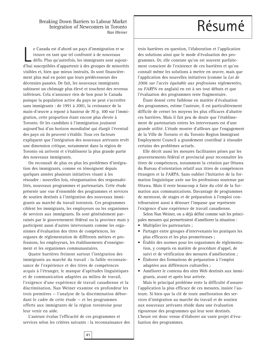Breaking Down Barriers to Labour Market<br>Integration of Newcomers in Toronto Integration of Newcomers in Toronto *Nan Weiner*

e Canada est d'abord un pays d'immigration et se<br>trouve en tant que tel confronté à de nouveaux<br>défis. Plus qu'autrefois, les immigrants sont aujour-<br>d'hui susceptibles d'appartenir à des groupes de minorités e Canada est d'abord un pays d'immigration et se trouve en tant que tel confronté à de nouveaux défis. Plus qu'autrefois, les immigrants sont aujourvisibles et, bien que mieux instruits, ils sont financièrement plus mal en point que leurs prédécesseurs des décennies passées. De fait, les nouveaux immigrants subissent un chômage plus élevé et touchent des revenus inférieurs. Cela n'annonce rien de bon pour le Canada puisque la population active du pays ne peut s'accroître sans immigrants : de 1991 à 2001, la croissance de la main-d'œuvre a reposé à hauteur de 70 p. 100 sur l'immigration, cette proportion étant encore plus élevée à Toronto. Or les candidats à l'immigration jouissent aujourd'hui d'un horizon mondialisé qui élargit l'éventail des pays où ils peuvent s'établir. Tous ces facteurs expliquent que l'intégration des nouveaux arrivants revêt une dimension critique, notamment dans la région de Toronto où arrivent et s'établissent la plus grande partie des nouveaux immigrants.

On reconnaît de plus en plus les problèmes d'intégration des immigrants, comme en témoignent depuis quelques années plusieurs initiatives visant à les résoudre : nouvelles lois, réorganisation des responsabilités, nouveaux programmes et partenariats. Cette étude présente une vue d'ensemble des programmes et services de soutien destinés à l'intégration des nouveaux immigrants au marché du travail torontois. Ces programmes ciblent les immigrants, les employeurs ou les organismes de services aux immigrants. Ils sont généralement parrainés par le gouvernement fédéral ou la province mais y participent aussi d'autres intervenants comme les organismes d'évaluation des titres de compétences, les organes de réglementation de différents métiers et professions, les employeurs, les établissements d'enseignement et les organismes communautaires.

Quatre barrières freinent surtout l'intégration des immigrants au marché du travail : la faible reconnaissance de l'expérience et des titres de compétences acquis à l'étranger, le manque d'aptitudes linguistiques et de communication adaptées au milieu de travail, l'exigence d'une expérience de travail canadienne et la discrimination. Nan Weiner examine en profondeur les trois premières — l'analyse de la discrimination débordant le cadre de cette étude — et les programmes offerts aux immigrants de la région torontoise pour leur venir en aide.

L'auteure évalue l'efficacité de ces programmes et services selon les critères suivants : la reconnaissance des

trois barrières en question, l'élaboration et l'application des solutions ainsi que le mode d'évaluation des programmes. Or, elle constate qu'on est souvent parfaitement conscient de l'existence de ces barrières et qu'on connaît même les solutions à mettre en œuvre, mais que l'application des nouvelles initiatives (comme la *Loi de 2006 sur l'accès équitable aux professions réglementées*, ou *FARPA* en anglais) en est à ses tout débuts et que l'évaluation des programmes reste fragmentaire.

Étant donné cette faiblesse en matière d'évaluation des programmes, estime l'auteure, il est particulièrement difficile de cerner les moyens les plus efficaces d'abattre ces barrières. Mais il fait peu de doute que l'établissement de partenariats entres les intervenants est d'une grande utilité. L'étude montre d'ailleurs que l'engagement de la Ville de Toronto et du Toronto Region Immigrant Employment Council a grandement contribué à résoudre certains des problèmes actuels.

Elle décrit aussi les mesures facilitantes prises par les gouvernements fédéral et provincial pour reconnaître les titres de compétences, notamment la création par Ottawa du Bureau d'orientation relatif aux titres de compétences étrangers et la *FARPA*. Sans oublier l'Initiative de la formation linguistique axée sur les professions soutenue par Ottawa. Mais il reste beaucoup à faire du côté de la formation aux communications. Davantage de programmes de mentorat, de stages et de préparation à l'emploi contribueraient aussi à dénouer l'impasse que représente l'exigence d'une expérience de travail canadienne.

Selon Nan Weiner, on a déjà défini comme suit les principales mesures qui permettraient d'améliorer la situation :

- Multiplier les partenariats ;
- Partager entre groupes d'intervenants les pratiques les plus efficaces et les plus prometteuses ;
- Établir des normes pour les organismes de réglementation, y compris en matière de procédure d'appel, de suivi et de vérification des mesures d'amélioration ;
- Élaborer des formations de préparation à l'emploi adaptées aux différences culturelles ;
- Améliorer le contenu des sites Web destinés aux immigrants, avant et après leur arrivée.

Mais le principal problème reste la difficulté d'assurer l'application la plus efficace de ces mesures, insiste l'auteure. Si bien que la clé de toute amélioration des services d'intégration au marché du travail et de soutien aux nouveaux arrivants réside dans une évaluation rigoureuse des programmes qui leur sont destinés. L'heure est donc venue d'élaborer un vaste projet d'évaluation des programmes.